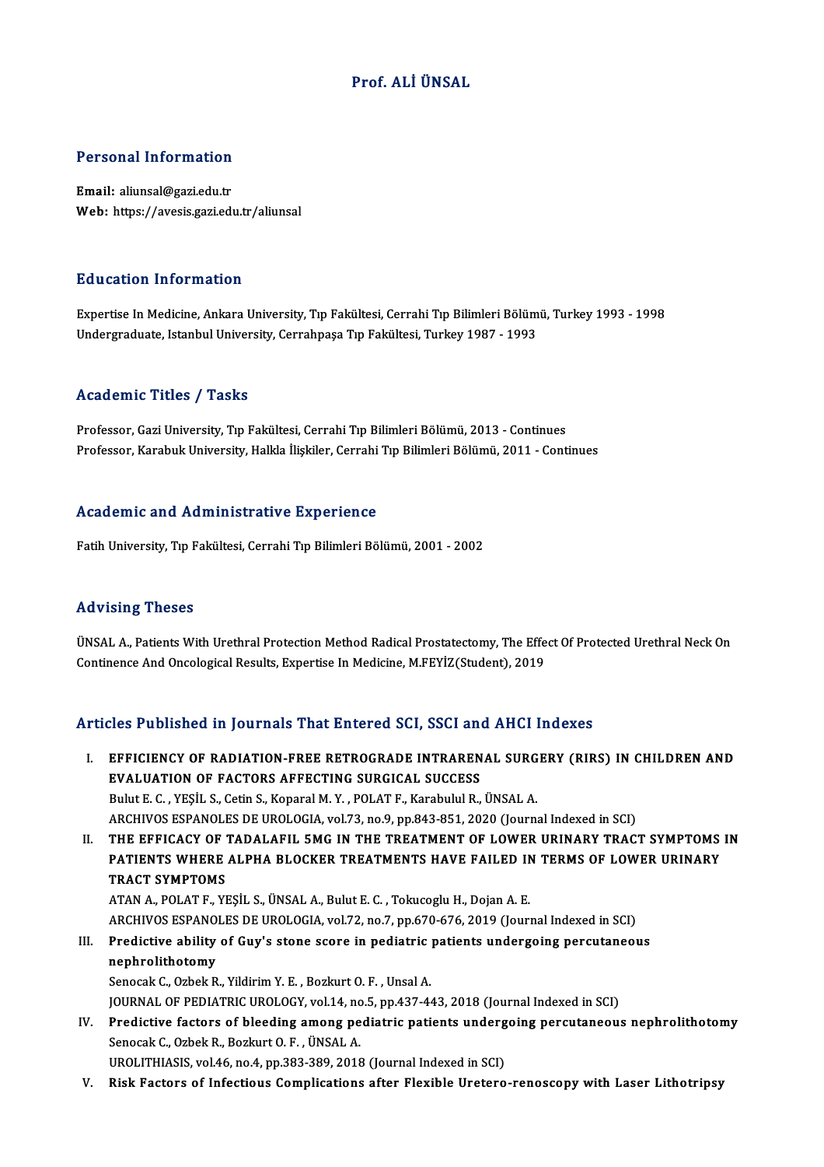#### Prof. ALİÜNSAL

# Personal Information

Personal Information<br>Email: aliunsal@gazi.edu.tr<br>Web: https://ayosis.gazi.edu Email: aliunsal@gazi.edu.tr<br>Web: https://avesis.gazi.edu.tr/aliunsal

#### Education Information

E**ducation Information**<br>Expertise In Medicine, Ankara University, Tıp Fakültesi, Cerrahi Tıp Bilimleri Bölümü, Turkey 1993 - 1998<br>Undergraduate Istanbul University, Cerrahnese Tıp Fakültesi, Turkey 1997, 1993 Luususeen entse musessen<br>Expertise In Medicine, Ankara University, Tıp Fakültesi, Cerrahi Tıp Bilimleri Bölüm<br>Undergraduate, Istanbul University, Cerrahpaşa Tıp Fakültesi, Turkey 1987 - 1993 Undergraduate, Istanbul University, Cerrahpaşa Tıp Fakültesi, Turkey 1987 - 1993<br>Academic Titles / Tasks

Professor, Gazi University, Tıp Fakültesi, Cerrahi Tıp Bilimleri Bölümü, 2013 - Continues Professor, Karabuk University, Halkla İlişkiler, Cerrahi Tıp Bilimleri Bölümü, 2011 - Continues

#### Academic and Administrative Experience

Fatih University, Tıp Fakültesi, Cerrahi Tıp Bilimleri Bölümü, 2001 - 2002

#### Advising Theses

Advising Theses<br>ÜNSAL A., Patients With Urethral Protection Method Radical Prostatectomy, The Effect Of Protected Urethral Neck On<br>Continence And Ongelegical Beaults, Eunerties In Medicine, MEEVIZ(Student), 2019 TER VISTING THOSOS<br>ÜNSAL A., Patients With Urethral Protection Method Radical Prostatectomy, The Effe<br>Continence And Oncological Results, Expertise In Medicine, M.FEYİZ(Student), 2019 Continence And Oncological Results, Expertise In Medicine, M.FEYİZ(Student), 2019<br>Articles Published in Journals That Entered SCI, SSCI and AHCI Indexes

rticles Published in Journals That Entered SCI, SSCI and AHCI Indexes<br>I. EFFICIENCY OF RADIATION-FREE RETROGRADE INTRARENAL SURGERY (RIRS) IN CHILDREN AND EFFICIENCY OF RADIATION-FREE RETROGRADE INTRAREN<br>EVALUATION OF FACTORS AFFECTING SURGICAL SUCCESS<br>Bulut E.C., VESU, S. Cotin S. Kanaral M.V., DOLAT E. Kanabulul B. EVALUATION OF FACTORS AFFECTING SURGICAL SUCCESS<br>Bulut E. C. , YESİL S., Cetin S., Koparal M. Y. , POLAT F., Karabulul R., ÜNSAL A. ARCHIVOS ESPANOLES DE UROLOGIA, vol.73, no.9, pp.843-851, 2020 (Journal Indexed in SCI) Bulut E. C. , YEŞİL S., Cetin S., Koparal M. Y. , POLAT F., Karabulul R., ÜNSAL A.<br>ARCHIVOS ESPANOLES DE UROLOGIA, vol.73, no.9, pp.843-851, 2020 (Journal Indexed in SCI)<br>II. THE EFFICACY OF TADALAFIL 5MG IN THE TREATMENT ARCHIVOS ESPANOLES DE UROLOGIA, vol73, no.9, pp.843-851, 2020 (Journal Indexed in SCI)<br>THE EFFICACY OF TADALAFIL 5MG IN THE TREATMENT OF LOWER URINARY TRACT SYMPTOMS<br>PATIENTS WHERE ALPHA BLOCKER TREATMENTS HAVE FAILED IN T THE EFFICACY OF<br>PATIENTS WHERE<br>TRACT SYMPTOMS PATIENTS WHERE ALPHA BLOCKER TREATMENTS HAVE FAILED IN TERMS OF LOWER URINARY<br>TRACT SYMPTOMS<br>ATAN A., POLAT F., YEŞİL S., ÜNSAL A., Bulut E. C. , Tokucoglu H., Dojan A. E. TRACT SYMPTOMS<br>ATAN A., POLAT F., YEŞİL S., ÜNSAL A., Bulut E. C. , Tokucoglu H., Dojan A. E.<br>ARCHIVOS ESPANOLES DE UROLOGIA, vol.72, no.7, pp.670-676, 2019 (Journal Indexed in SCI)<br>Predistive ability of Cuvis stane ssere ATAN A., POLAT F., YEŞİL S., ÜNSAL A., Bulut E. C. , Tokucoglu H., Dojan A. E.<br>ARCHIVOS ESPANOLES DE UROLOGIA, vol.72, no.7, pp.670-676, 2019 (Journal Indexed in SCI)<br>III. Predictive ability of Guy's stone score in pediatr ARCHIVOS ESPANO<br>Predictive ability<br>nephrolithotomy<br>Sanagek C. Orbak B Predictive ability of Guy's stone score in pediatric<br>nephrolithotomy<br>Senocak C., Ozbek R., Yildirim Y. E. , Bozkurt O. F. , Unsal A.<br>JOUPMAL OF PEDIATRIC UPOLOGY vol.14, po 5, pp.437.44 nephrolithotomy<br>Senocak C., Ozbek R., Yildirim Y. E. , Bozkurt O. F. , Unsal A.<br>JOURNAL OF PEDIATRIC UROLOGY, vol.14, no.5, pp.437-443, 2018 (Journal Indexed in SCI) Senocak C., Ozbek R., Yildirim Y. E. , Bozkurt O. F. , Unsal A.<br>JOURNAL OF PEDIATRIC UROLOGY, vol.14, no.5, pp.437-443, 2018 (Journal Indexed in SCI)<br>IV. Predictive factors of bleeding among pediatric patients undergoing p JOURNAL OF PEDIATRIC UROLOGY, vol.14, no<br>Predictive factors of bleeding among pe<br>Senocak C., Ozbek R., Bozkurt O. F. , ÜNSAL A.<br>UPOLITHIASIS vol.46, no.4, np.393,390,3015 Predictive factors of bleeding among pediatric patients underg<br>Senocak C., Ozbek R., Bozkurt O. F. , ÜNSAL A.<br>UROLITHIASIS, vol.46, no.4, pp.383-389, 2018 (Journal Indexed in SCI)<br>Biek Fostore of Infectious Complications a

Senocak C., Ozbek R., Bozkurt O. F. , ÜNSAL A.<br>UROLITHIASIS, vol.46, no.4, pp.383-389, 2018 (Journal Indexed in SCI)<br>V. Risk Factors of Infectious Complications after Flexible Uretero-renoscopy with Laser Lithotripsy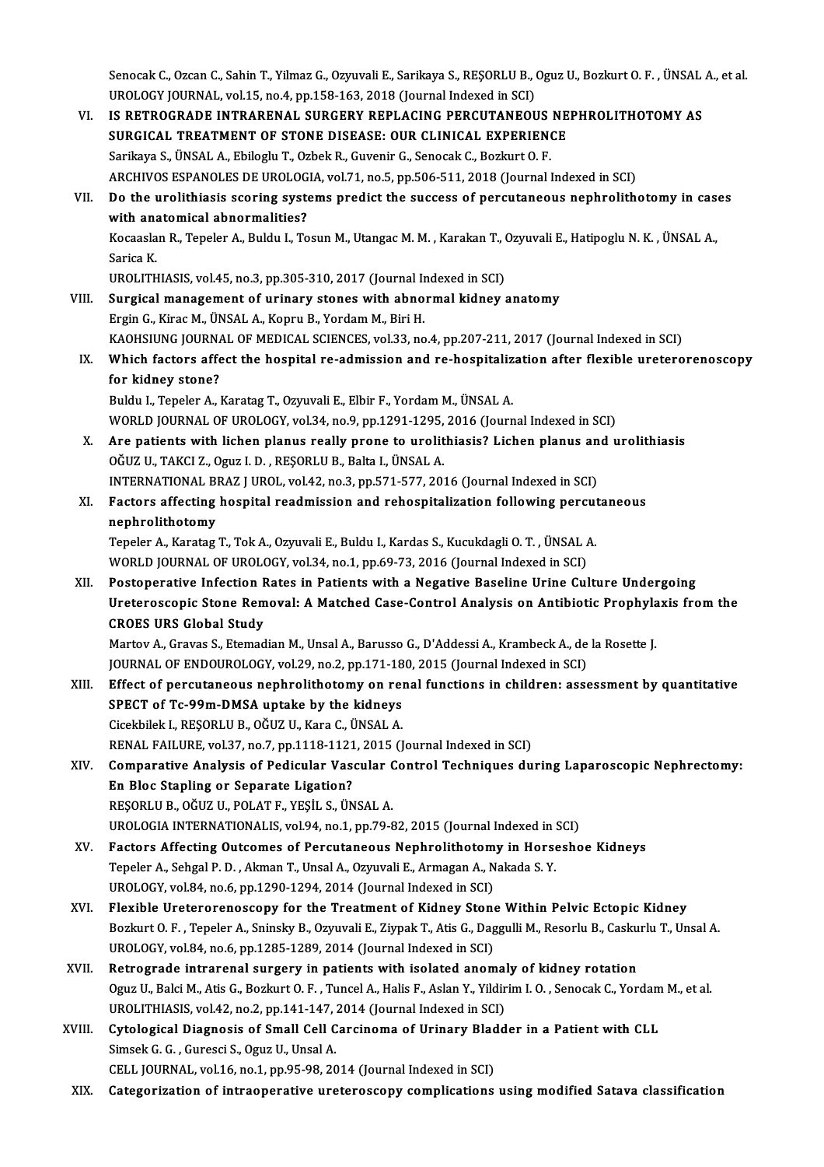Senocak C., Ozcan C., Sahin T., Yilmaz G., Ozyuvali E., Sarikaya S., REŞORLU B., Oguz U., Bozkurt O. F. , ÜNSAL A., et al.<br>UPOLOCY JOUPNAL, vel 15, no.4, nn 158,162, 2018 (Journal Indoved in SCI) Senocak C., Ozcan C., Sahin T., Yilmaz G., Ozyuvali E., Sarikaya S., REŞORLU B., (<br>UROLOGY JOURNAL, vol.15, no.4, pp.158-163, 2018 (Journal Indexed in SCI)<br>IS RETROCRADE INTRARENAL, SURCERY REPLACING RERGUTANEOL Senocak C., Ozcan C., Sahin T., Yilmaz G., Ozyuvali E., Sarikaya S., REŞORLU B., Oguz U., Bozkurt O. F. , ÜNSAL<br>UROLOGY JOURNAL, vol.15, no.4, pp.158-163, 2018 (Journal Indexed in SCI)<br>VI. IS RETROGRADE INTRARENAL SURGERY

- UROLOGY JOURNAL, vol.15, no.4, pp.158-163, 2018 (Journal Indexed in SCI)<br>VI. IS RETROGRADE INTRARENAL SURGERY REPLACING PERCUTANEOUS NEPHROLITHOTOMY AS<br>SURGICAL TREATMENT OF STONE DISEASE: OUR CLINICAL EXPERIENCE Sarikaya S.,ÜNSALA.,EbilogluT.,OzbekR.,GuvenirG.,SenocakC.,BozkurtO.F. ARCHIVOS ESPANOLES DE UROLOGIA, vol.71, no.5, pp.506-511, 2018 (Journal Indexed in SCI) Sarikaya S., ÜNSAL A., Ebiloglu T., Ozbek R., Guvenir G., Senocak C., Bozkurt O. F.<br>ARCHIVOS ESPANOLES DE UROLOGIA, vol.71, no.5, pp.506-511, 2018 (Journal Indexed in SCI)<br>VII. Do the urolithiasis scoring systems predict t ARCHIVOS ESPANOLES DE UROLOG<br>Do the urolithiasis scoring system<br>with anatomical abnormalities?<br>Kessaslan B. Teneler A. Buldu L. Te Do the urolithiasis scoring systems predict the success of percutaneous nephrolithotomy in case<br>with anatomical abnormalities?<br>Kocaaslan R., Tepeler A., Buldu I., Tosun M., Utangac M. M. , Karakan T., Ozyuvali E., Hatipogl wi<mark>th an:</mark><br>Kocaasla<br>Sarica K.<br>UPOLITE Kocaaslan R., Tepeler A., Buldu I., Tosun M., Utangac M. M. , Karakan T., (<br>Sarica K.<br>UROLITHIASIS, vol.45, no.3, pp.305-310, 2017 (Journal Indexed in SCI)<br>Surgical management of uninery stenes with abnormal kidney ، Sarica K.<br>UROLITHIASIS, vol.45, no.3, pp.305-310, 2017 (Journal Indexed in SCI)<br>VIII. Surgical management of urinary stones with abnormal kidney anatomy<br>Ergin G., Kirac M., ÜNSAL A., Kopru B., Yordam M., Biri H. UROLITHIASIS, vol.45, no.3, pp.305-310, 2017 (Journal Indexed in SCI) Surgical management of urinary stones with abnormal kidney anatomy<br>Ergin G., Kirac M., ÜNSAL A., Kopru B., Yordam M., Biri H.<br>KAOHSIUNG JOURNAL OF MEDICAL SCIENCES, vol.33, no.4, pp.207-211, 2017 (Journal Indexed in SCI)<br>W Ergin G., Kirac M., ÜNSAL A., Kopru B., Yordam M., Biri H.<br>KAOHSIUNG JOURNAL OF MEDICAL SCIENCES, vol.33, no.4, pp.207-211, 2017 (Journal Indexed in SCI)<br>IX. Which factors affect the hospital re-admission and re-hospitaliz KAOHSIUNG JOURNA<br>Which factors affer<br>for kidney stone?<br>Puldu J. Toneler A. I Which factors affect the hospital re-admission and re-hospitaliz<br>for kidney stone?<br>Buldu I., Tepeler A., Karatag T., Ozyuvali E., Elbir F., Yordam M., ÜNSAL A.<br>WORLD JOURNAL OF UPOLOCY vol 34, no 9, nn 1291 1295-2016 (Jour for kidney stone?<br>Buldu I., Tepeler A., Karatag T., Ozyuvali E., Elbir F., Yordam M., ÜNSAL A.<br>WORLD JOURNAL OF UROLOGY, vol.34, no.9, pp.1291-1295, 2016 (Journal Indexed in SCI) Buldu I., Tepeler A., Karatag T., Ozyuvali E., Elbir F., Yordam M., ÜNSAL A.<br>WORLD JOURNAL OF UROLOGY, vol.34, no.9, pp.1291-1295, 2016 (Journal Indexed in SCI)<br>X. Are patients with lichen planus really prone to urolithias WORLD JOURNAL OF UROLOGY, vol.34, no.9, pp.1291-1295,<br>Are patients with lichen planus really prone to urolit<br>OĞUZ U., TAKCI Z., Oguz I.D., REŞORLU B., Balta I., ÜNSAL A. Are patients with lichen planus really prone to urolithiasis? Lichen planus an<br>OĞUZ U., TAKCI Z., Oguz I. D. , REŞORLU B., Balta I., ÜNSAL A.<br>INTERNATIONAL BRAZ J UROL, vol.42, no.3, pp.571-577, 2016 (Journal Indexed in SC OĞUZ U., TAKCI Z., Oguz I. D. , REŞORLU B., Balta I., ÜNSAL A.<br>INTERNATIONAL BRAZ J UROL, vol.42, no.3, pp.571-577, 2016 (Journal Indexed in SCI)<br>XI. Factors affecting hospital readmission and rehospitalization following p INTERNATIONAL BRAZ J UROL, vol.42, no.3, pp.571-577, 2016 (Journal Indexed in SCI) Factors affecting hospital readmission and rehospitalization following percut<br>nephrolithotomy<br>Tepeler A., Karatag T., Tok A., Ozyuvali E., Buldu I., Kardas S., Kucukdagli O. T. , ÜNSAL A.<br>WOBLD JOURNAL OF UROLOCY vol 34, n nephrolithotomy<br>Tepeler A., Karatag T., Tok A., Ozyuvali E., Buldu I., Kardas S., Kucukdagli O. T. , ÜNSAL A<br>WORLD JOURNAL OF UROLOGY, vol.34, no.1, pp.69-73, 2016 (Journal Indexed in SCI)<br>Pesteperative Infestion Pates in Tepeler A., Karatag T., Tok A., Ozyuvali E., Buldu I., Kardas S., Kucukdagli O. T. , ÜNSAL A.<br>WORLD JOURNAL OF UROLOGY, vol.34, no.1, pp.69-73, 2016 (Journal Indexed in SCI)<br>XII. Postoperative Infection Rates in Patients w WORLD JOURNAL OF UROLOGY, vol.34, no.1, pp.69-73, 2016 (Journal Indexed in SCI)<br>Postoperative Infection Rates in Patients with a Negative Baseline Urine Culture Undergoing<br>Ureteroscopic Stone Removal: A Matched Case-Contro Postoperative Infection F<br>Ureteroscopic Stone Rem<br>CROES URS Global Study<br>Martou A Crauss S. Ftamed Ureteroscopic Stone Removal: A Matched Case-Control Analysis on Antibiotic Prophyla<br>CROES URS Global Study<br>Martov A., Gravas S., Etemadian M., Unsal A., Barusso G., D'Addessi A., Krambeck A., de la Rosette J.<br>JOUPMAL OF EN CROES URS Global Study<br>Martov A., Gravas S., Etemadian M., Unsal A., Barusso G., D'Addessi A., Krambeck A., de<br>JOURNAL OF ENDOUROLOGY, vol.29, no.2, pp.171-180, 2015 (Journal Indexed in SCI)<br>Effect of nongutaneous nanhroli JOURNAL OF ENDOUROLOGY, vol.29, no.2, pp.171-180, 2015 (Journal Indexed in SCI)<br>XIII. Effect of percutaneous nephrolithotomy on renal functions in children: assessment by quantitative JOURNAL OF ENDOUROLOGY, vol.29, no.2, pp.171-18<br>Effect of percutaneous nephrolithotomy on rei<br>SPECT of Tc-99m-DMSA uptake by the kidneys<br>Cisekhiek L RESORLU R OČUZ U Kara C ÜNSALA Effect of percutaneous nephrolithotomy on rei<br>SPECT of Tc-99m-DMSA uptake by the kidneys<br>Cicekbilek I., REŞORLU B., OĞUZ U., Kara C., ÜNSAL A.<br>PENAL FAJLUPE vol 37 no 7 nn 1118 1121 2015 (J Cicekbilek I., REŞORLU B., OĞUZ U., Kara C., ÜNSAL A.<br>RENAL FAILURE, vol.37, no.7, pp.1118-1121, 2015 (Journal Indexed in SCI) Cicekbilek I., REŞORLU B., OĞUZ U., Kara C., ÜNSAL A.<br>RENAL FAILURE, vol.37, no.7, pp.1118-1121, 2015 (Journal Indexed in SCI)<br>XIV. Comparative Analysis of Pedicular Vascular Control Techniques during Laparoscopic Neph RENAL FAILURE, vol.37, no.7, pp.1118-1121<br>Comparative Analysis of Pedicular Vase<br>En Bloc Stapling or Separate Ligation?<br>PESOPLU BLOČUZ UL POLATE VESULS UN Comparative Analysis of Pedicular Vascular (<br>En Bloc Stapling or Separate Ligation?<br>REŞORLU B., OĞUZ U., POLAT F., YEŞİL S., ÜNSAL A.<br>UPOLOCIA INTERNATIONALIS vel 94. po 1. pp.79.8 En Bloc Stapling or Separate Ligation?<br>REŞORLU B., OĞUZ U., POLAT F., YEŞİL S., ÜNSAL A.<br>UROLOGIA INTERNATIONALIS, vol.94, no.1, pp.79-82, 2015 (Journal Indexed in SCI)<br>Fastars Affecting Outsomes of Bergutaneous Nonbrolith REŞORLU B., OĞUZ U., POLAT F., YEŞİL S., ÜNSAL A.<br>UROLOGIA INTERNATIONALIS, vol.94, no.1, pp.79-82, 2015 (Journal Indexed in SCI)<br>XV. Factors Affecting Outcomes of Percutaneous Nephrolithotomy in Horseshoe Kidneys<br>Tepe UROLOGIA INTERNATIONALIS, vol.94, no.1, pp.79-82, 2015 (Journal Indexed in :<br>Factors Affecting Outcomes of Percutaneous Nephrolithotomy in Horse<br>Tepeler A., Sehgal P. D. , Akman T., Unsal A., Ozyuvali E., Armagan A., Nakad UROLOGY, vol.84, no.6, pp.1290-1294, 2014 (Journal Indexed in SCI) Tepeler A., Sehgal P. D. , Akman T., Unsal A., Ozyuvali E., Armagan A., Nakada S. Y.<br>UROLOGY, vol.84, no.6, pp.1290-1294, 2014 (Journal Indexed in SCI)<br>XVI. Plexible Ureterorenoscopy for the Treatment of Kidney Stone Withi Bozkurt O. F. , Tepeler A., Sninsky B., Ozyuvali E., Ziypak T., Atis G., Daggulli M., Resorlu B., Caskurlu T., Unsal A.<br>UROLOGY, vol.84, no.6, pp.1285-1289, 2014 (Journal Indexed in SCI) Flexible Ureterorenoscopy for the Treatment of Kidney Stone<br>Bozkurt O. F. , Tepeler A., Sninsky B., Ozyuvali E., Ziypak T., Atis G., Dag<br>UROLOGY, vol.84, no.6, pp.1285-1289, 2014 (Journal Indexed in SCI)<br>Betrearede intrere Bozkurt O. F., Tepeler A., Sninsky B., Ozyuvali E., Ziypak T., Atis G., Daggulli M., Resorlu B., Casku<br>UROLOGY, vol.84, no.6, pp.1285-1289, 2014 (Journal Indexed in SCI)<br>XVII. Retrograde intrarenal surgery in patients with Oguz U., Balci M., Atis G., Bozkurt O. F. , Tuncel A., Halis F., Aslan Y., Yildirim I. O. , Senocak C., Yordam M., et al.<br>UROLITHIASIS, vol.42, no.2, pp.141-147, 2014 (Journal Indexed in SCI) Retrograde intrarenal surgery in patients with isolated anomal<br>Oguz U., Balci M., Atis G., Bozkurt O. F. , Tuncel A., Halis F., Aslan Y., Yildir<br>UROLITHIASIS, vol.42, no.2, pp.141-147, 2014 (Journal Indexed in SCI)<br>Cytolog Oguz U., Balci M., Atis G., Bozkurt O. F. , Tuncel A., Halis F., Aslan Y., Yildirim I. O. , Senocak C., Yordam<br>UROLITHIASIS, vol.42, no.2, pp.141-147, 2014 (Journal Indexed in SCI)<br>XVIII. Cytological Diagnosis of Small Cel UROLITHIASIS, vol.42, no.2, pp.141-147, <br>Cytological Diagnosis of Small Cell C<br>Simsek G. G. , Guresci S., Oguz U., Unsal A.<br>CELL JOUPNAL vol.16, no.1, np.05, 09, 20 Cytological Diagnosis of Small Cell Carcinoma of Urinary Blad<br>Simsek G. G., Guresci S., Oguz U., Unsal A.<br>CELL JOURNAL, vol.16, no.1, pp.95-98, 2014 (Journal Indexed in SCI)<br>Catagonization of introoperative unatorogeony co Simsek G. G. , Guresci S., Oguz U., Unsal A.<br>CELL JOURNAL, vol.16, no.1, pp.95-98, 2014 (Journal Indexed in SCI)<br>XIX. Categorization of intraoperative ureteroscopy complications using modified Satava classification
-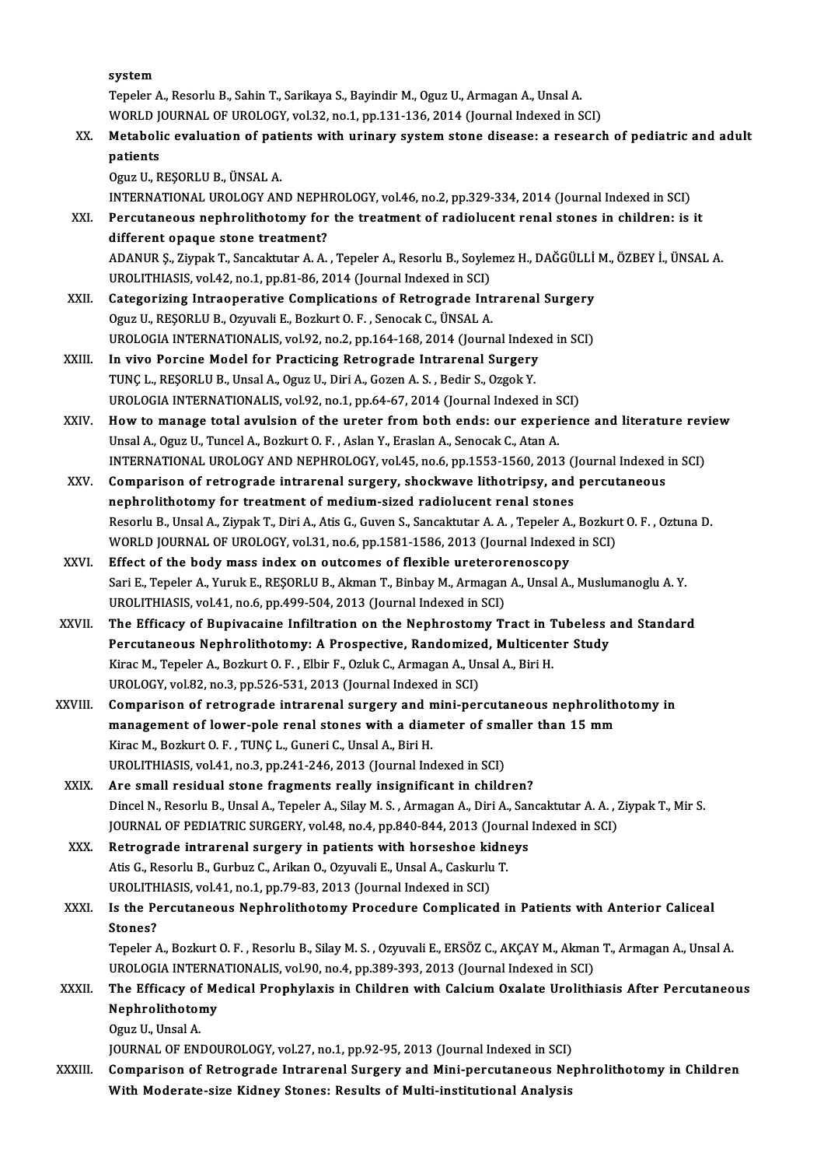system

Tepeler A., Resorlu B., Sahin T., Sarikaya S., Bayindir M., Oguz U., Armagan A., Unsal A. WORLD JOURNAL OF UROLOGY, vol.32, no.1, pp.131-136, 2014 (Journal Indexed in SCI)

Tepeler A., Resorlu B., Sahin T., Sarikaya S., Bayindir M., Oguz U., Armagan A., Unsal A.<br>WORLD JOURNAL OF UROLOGY, vol.32, no.1, pp.131-136, 2014 (Journal Indexed in SCI)<br>XX. Metabolic evaluation of patients with urinary WORLD J<br>Metaboli<br>patients<br>Oguz U. B Metabolic evaluation of pat:<br>patients<br>Oguz U., REŞORLU B., ÜNSAL A.<br>INTERNATIONAL UPOLOCY AN patients<br>Oguz U., REŞORLU B., ÜNSAL A.<br>INTERNATIONAL UROLOGY AND NEPHROLOGY, vol.46, no.2, pp.329-334, 2014 (Journal Indexed in SCI)<br>Persutaneous naphrolithatomy for the treatment of radiolysent repal stanss in shildron; i

Oguz U., REŞORLU B., ÜNSAL A.<br>INTERNATIONAL UROLOGY AND NEPHROLOGY, vol.46, no.2, pp.329-334, 2014 (Journal Indexed in SCI)<br>XXI. Percutaneous nephrolithotomy for the treatment of radiolucent renal stones in children: is it INTERNATIONAL UROLOGY AND NEPH<br>Percutaneous nephrolithotomy for<br>different opaque stone treatment? Percutaneous nephrolithotomy for the treatment of radiolucent renal stones in children: is it<br>different opaque stone treatment?<br>ADANUR \$., Ziypak T., Sancaktutar A. A. , Tepeler A., Resorlu B., Soylemez H., DAĞGÜLLİ M., ÖZ

different opaque stone treatment?<br>ADANUR Ş., Ziypak T., Sancaktutar A. A. , Tepeler A., Resorlu B., Soyle:<br>UROLITHIASIS, vol.42, no.1, pp.81-86, 2014 (Journal Indexed in SCI)<br>Categorizing Intreaperative Complications of Be ADANUR Ș., Ziypak T., Sancaktutar A. A., Tepeler A., Resorlu B., Soylemez H., DAĞGÜLLİ<br>UROLITHIASIS, vol.42, no.1, pp.81-86, 2014 (Journal Indexed in SCI)<br>XXII. Categorizing Intraoperative Complications of Retrograde Intra

- UROLITHIASIS, vol.42, no.1, pp.81-86, 2014 (Journal Indexed in SCI)<br>Categorizing Intraoperative Complications of Retrograde Intrarenal Surgery<br>Oguz U., REŞORLU B., Ozyuvali E., Bozkurt O. F. , Senocak C., ÜNSAL A. UROLOGIA INTERNATIONALIS, vol.92, no.2, pp.164-168, 2014 (Journal Indexed in SCI)
- XXIII. In vivo Porcine Model for Practicing Retrograde Intrarenal Surgery UROLOGIA INTERNATIONALIS, vol.92, no.2, pp.164-168, 2014 (Journal Index<br>In vivo Porcine Model for Practicing Retrograde Intrarenal Surgery<br>TUNÇ L., REŞORLU B., Unsal A., Oguz U., Diri A., Gozen A. S., Bedir S., Ozgok Y.<br>UP In vivo Porcine Model for Practicing Retrograde Intrarenal Surgery<br>TUNÇ L., REŞORLU B., Unsal A., Oguz U., Diri A., Gozen A. S. , Bedir S., Ozgok Y.<br>UROLOGIA INTERNATIONALIS, vol.92, no.1, pp.64-67, 2014 (Journal Indexed i
- UROLOGIA INTERNATIONALIS, vol.92, no.1, pp.64-67, 2014 (Journal Indexed in SCI)<br>XXIV. How to manage total avulsion of the ureter from both ends: our experience and literature review Unsal A., Oguz U., Tuncel A., Bozkurt O. F., Aslan Y., Eraslan A., Senocak C., Atan A. How to manage total avulsion of the ureter from both ends: our experience and literature rev<br>Unsal A., Oguz U., Tuncel A., Bozkurt O. F. , Aslan Y., Eraslan A., Senocak C., Atan A.<br>INTERNATIONAL UROLOGY AND NEPHROLOGY, vol Unsal A., Oguz U., Tuncel A., Bozkurt O. F. , Aslan Y., Eraslan A., Senocak C., Atan A.<br>INTERNATIONAL UROLOGY AND NEPHROLOGY, vol.45, no.6, pp.1553-1560, 2013 (Journal Indexed<br>XXV. Comparison of retrograde intrarenal surge
- INTERNATIONAL UROLOGY AND NEPHROLOGY, vol.45, no.6, pp.1553-1560, 2013 (J<br>Comparison of retrograde intrarenal surgery, shockwave lithotripsy, and<br>nephrolithotomy for treatment of medium-sized radiolucent renal stones<br>Beser Comparison of retrograde intrarenal surgery, shockwave lithotripsy, and percutaneous<br>nephrolithotomy for treatment of medium-sized radiolucent renal stones<br>Resorlu B., Unsal A., Ziypak T., Diri A., Atis G., Guven S., Sanca nephrolithotomy for treatment of medium-sized radiolucent renal stones<br>Resorlu B., Unsal A., Ziypak T., Diri A., Atis G., Guven S., Sancaktutar A. A. , Tepeler A., Bozkur<br>WORLD JOURNAL OF UROLOGY, vol.31, no.6, pp.1581-158 Resorlu B., Unsal A., Ziypak T., Diri A., Atis G., Guven S., Sancaktutar A. A., Tepeler A.<br>WORLD JOURNAL OF UROLOGY, vol.31, no.6, pp.1581-1586, 2013 (Journal Indexed<br>XXVI. Effect of the body mass index on outcomes of flex
- WORLD JOURNAL OF UROLOGY, vol.31, no.6, pp.1581-1586, 2013 (Journal Indexed in SCI)<br>Effect of the body mass index on outcomes of flexible ureterorenoscopy<br>Sari E., Tepeler A., Yuruk E., REŞORLU B., Akman T., Binbay M., Arm Effect of the body mass index on outcomes of flexible ureteror<br>Sari E., Tepeler A., Yuruk E., REŞORLU B., Akman T., Binbay M., Armagan<br>UROLITHIASIS, vol.41, no.6, pp.499-504, 2013 (Journal Indexed in SCI)<br>The Efficesy of B Sari E., Tepeler A., Yuruk E., REŞORLU B., Akman T., Binbay M., Armagan A., Unsal A., Muslumanoglu A. Y.<br>UROLITHIASIS, vol.41, no.6, pp.499-504, 2013 (Journal Indexed in SCI)<br>XXVII. The Efficacy of Bupivacaine Infiltration
- UROLITHIASIS, vol.41, no.6, pp.499-504, 2013 (Journal Indexed in SCI)<br>The Efficacy of Bupivacaine Infiltration on the Nephrostomy Tract in Tubeless :<br>Percutaneous Nephrolithotomy: A Prospective, Randomized, Multicenter Stu The Efficacy of Bupivacaine Infiltration on the Nephrostomy Tract in 1<br>Percutaneous Nephrolithotomy: A Prospective, Randomized, Multicent<br>Kirac M., Tepeler A., Bozkurt O. F. , Elbir F., Ozluk C., Armagan A., Unsal A., Biri Percutaneous Nephrolithotomy: A Prospective, Randomize<br>Kirac M., Tepeler A., Bozkurt O. F. , Elbir F., Ozluk C., Armagan A., Un<br>UROLOGY, vol.82, no.3, pp.526-531, 2013 (Journal Indexed in SCI)<br>Comparison of retrograde intr Kirac M., Tepeler A., Bozkurt O. F. , Elbir F., Ozluk C., Armagan A., Unsal A., Biri H.<br>UROLOGY, vol.82, no.3, pp.526-531, 2013 (Journal Indexed in SCI)<br>XXVIII. Comparison of retrograde intrarenal surgery and mini-percutan
- UROLOGY, vol.82, no.3, pp.526-531, 2013 (Journal Indexed in SCI)<br>Comparison of retrograde intrarenal surgery and mini-percutaneous nephrolith<br>management of lower-pole renal stones with a diameter of smaller than 15 mm<br><sup>Vin</sup> Comparison of retrograde intrarenal surgery and n<br>management of lower-pole renal stones with a dian<br>Kirac M., Bozkurt O. F. , TUNÇ L., Guneri C., Unsal A., Biri H.<br>UPOLITHIASIS vol.41, no.2, np.341, 346, 3013 (Journal Ing management of lower-pole renal stones with a diameter of smaller than 15 mm<br>Kirac M., Bozkurt O. F. , TUNÇ L., Guneri C., Unsal A., Biri H.<br>UROLITHIASIS, vol.41, no.3, pp.241-246, 2013 (Journal Indexed in SCI)<br>Are small re
- UROLITHIASIS, vol.41, no.3, pp.241-246, 2013 (Journal Indexed in SCI)<br>XXIX. Are small residual stone fragments really insignificant in child Dincel N., Resorlu B., Unsal A., Tepeler A., Silay M. S., Armagan A., Diri A., Sancaktutar A. A., Ziypak T., Mir S. Are small residual stone fragments really insignificant in children?<br>Dincel N., Resorlu B., Unsal A., Tepeler A., Silay M. S. , Armagan A., Diri A., Sancaktutar A. A. , 7<br>JOURNAL OF PEDIATRIC SURGERY, vol.48, no.4, pp.840-Dincel N., Resorlu B., Unsal A., Tepeler A., Silay M. S., Armagan A., Diri A., Sar<br>JOURNAL OF PEDIATRIC SURGERY, vol.48, no.4, pp.840-844, 2013 (Journal<br>XXX. Retrograde intrarenal surgery in patients with horseshoe kidneys
- JOURNAL OF PEDIATRIC SURGERY, vol.48, no.4, pp.840-844, 2013 (Journ Retrograde intrarenal surgery in patients with horseshoe kidne<br>Atis G., Resorlu B., Gurbuz C., Arikan O., Ozyuvali E., Unsal A., Caskurlu T.<br>UPOLITHIASIS Retrograde intrarenal surgery in patients with horseshoe ki<br>Atis G., Resorlu B., Gurbuz C., Arikan O., Ozyuvali E., Unsal A., Caskurlu<br>UROLITHIASIS, vol.41, no.1, pp.79-83, 2013 (Journal Indexed in SCI)<br>Is the Bergutaneous

Atis G., Resorlu B., Gurbuz C., Arikan O., Ozyuvali E., Unsal A., Caskurlu T.<br>UROLITHIASIS, vol.41, no.1, pp.79-83, 2013 (Journal Indexed in SCI)<br>XXXI. Is the Percutaneous Nephrolithotomy Procedure Complicated in Patients UROLITH<br>Is the Pe<br>Stones?<br>Teneler / Is the Percutaneous Nephrolithotomy Procedure Complicated in Patients with Anterior Caliceal<br>Stones?<br>Tepeler A., Bozkurt O. F. , Resorlu B., Silay M. S. , Ozyuvali E., ERSÖZ C., AKÇAY M., Akman T., Armagan A., Unsal A.<br>UPO Stones?<br>Tepeler A., Bozkurt O. F. , Resorlu B., Silay M. S. , Ozyuvali E., ERSÖZ C., AKCAY M., Akman T., Armagan A., Unsal A.

Tepeler A., Bozkurt O. F. , Resorlu B., Silay M. S. , Ozyuvali E., ERSÖZ C., AKÇAY M., Akman T., Armagan A., Unsal A.<br>UROLOGIA INTERNATIONALIS, vol.90, no.4, pp.389-393, 2013 (Journal Indexed in SCI)<br>XXXII. The Efficacy of

# UROLOGIA INTERNATIONALIS, vol.90, no.4, pp.389-393, 2013 (Journal Indexed in SCI)<br>The Efficacy of Medical Prophylaxis in Children with Calcium Oxalate Urolith<br>Nephrolithotomy<br>Oguz U., Unsal A. The Efficacy of<br>Nephrolithotor<br>Oguz U., Unsal A.<br>IOUPMAL OF ENI

JOURNAL OF ENDOUROLOGY, vol.27, no.1, pp.92-95, 2013 (Journal Indexed in SCI)

XXXIII. Comparison of Retrograde Intrarenal Surgery and Mini-percutaneous Nephrolithotomy in Children With Moderate-size Kidney Stones: Results of Multi-institutional Analysis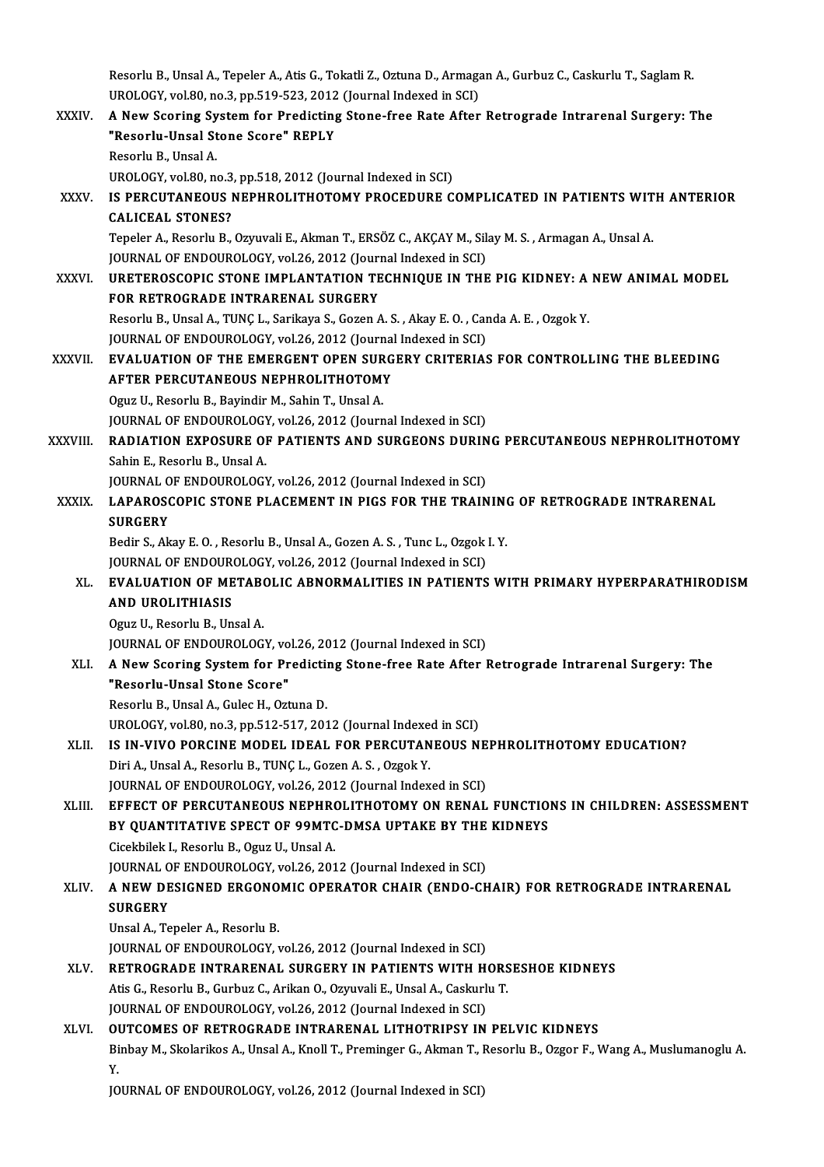Resorlu B., Unsal A., Tepeler A., Atis G., Tokatli Z., Oztuna D., Armagan A., Gurbuz C., Caskurlu T., Saglam R<br>UPOLOCY, vel 80, no 3, np 510, 523, 2012 (Journal Indoved in SCD) Resorlu B., Unsal A., Tepeler A., Atis G., Tokatli Z., Oztuna D., Armaga<br>UROLOGY, vol.80, no.3, pp.519-523, 2012 (Journal Indexed in SCI)<br>A Now Seoring System for Prodisting Stane free Pate After Resorlu B., Unsal A., Tepeler A., Atis G., Tokatli Z., Oztuna D., Armagan A., Gurbuz C., Caskurlu T., Saglam R.<br>UROLOGY, vol.80, no.3, pp.519-523, 2012 (Journal Indexed in SCI)<br>XXXIV. A New Scoring System for Predicting St

- UROLOGY, vol.80, no.3, pp.519-523, 2012 (Journal Indexed in SCI)<br>A New Scoring System for Predicting Stone-free Rate After<br>"Resorlu-Unsal Stone Score" REPLY<br>Resorlu B., Unsal A. A New Scoring System for Predicting Stone-free Rate After Retrograde Intrarenal Surgery: The UROLOGY, vol.80, no.3, pp.518, 2012 (Journal Indexed in SCI) Resorlu B., Unsal A.<br>UROLOGY, vol.80, no.3, pp.518, 2012 (Journal Indexed in SCI)<br>XXXV. IS PERCUTANEOUS NEPHROLITHOTOMY PROCEDURE COMPLICATED IN PATIENTS WITH ANTERIOR<br>CALICEAL STONES?
- UROLOGY, vol.80, no.3<br>IS PER<mark>CUTANEOUS</mark><br>CALICEAL STONES?<br>Tanalar A. Basarlu B IS PERCUTANEOUS NEPHROLITHOTOMY PROCEDURE COMPLICATED IN PATIENTS WIT<br>CALICEAL STONES?<br>Tepeler A., Resorlu B., Ozyuvali E., Akman T., ERSÖZ C., AKÇAY M., Silay M. S. , Armagan A., Unsal A.<br>JOUPMAL OF ENDOUPOLOCY .vol 26-20 CALICEAL STONES?<br>Tepeler A., Resorlu B., Ozyuvali E., Akman T., ERSÖZ C., AKCAY M., Silay M. S., Armagan A., Unsal A.

JOURNAL OF ENDOUROLOGY, vol.26, 2012 (Journal Indexed in SCI)

XXXVI. URETEROSCOPIC STONE IMPLANTATION TECHNIQUE IN THE PIG KIDNEY: A NEW ANIMAL MODEL<br>FOR RETROGRADE INTRARENAL SURGERY ResorluB.,UnsalA.,TUNÇL.,Sarikaya S.,GozenA.S. ,AkayE.O. ,CandaA.E. ,OzgokY. FOR RETROGRADE INTRARENAL SURGERY<br>Resorlu B., Unsal A., TUNÇ L., Sarikaya S., Gozen A. S. , Akay E. O. , Car<br>JOURNAL OF ENDOUROLOGY, vol.26, 2012 (Journal Indexed in SCI)<br>EVALUATION OF TUE EMERCENT OPEN SURCERY CRITERLAS

XXXVII. EVALUATION OF THE EMERGENT OPEN SURGERY CRITERIAS FOR CONTROLLING THE BLEEDING JOURNAL OF ENDOUROLOGY, vol.26, 2012 (Journa<br>EVALUATION OF THE EMERGENT OPEN SURG<br>AFTER PERCUTANEOUS NEPHROLITHOTOMY<br>Ogus II, Besselu B. Bevindin M. Sebin T. Upsel A AFTER PERCUTANEOUS NEPHROLITHOTOMY<br>Oguz U., Resorlu B., Bayindir M., Sahin T., Unsal A.

JOURNAL OF ENDOUROLOGY, vol.26, 2012 (Journal Indexed in SCI)

XXXVIII. RADIATION EXPOSURE OF PATIENTS AND SURGEONS DURING PERCUTANEOUS NEPHROLITHOTOMY Sahin E., Resorlu B., Unsal A.

JOURNAL OF ENDOUROLOGY, vol.26, 2012 (Journal Indexed in SCI)

### Sahin E., Resorlu B., Unsal A.<br>JOURNAL OF ENDOUROLOGY, vol.26, 2012 (Journal Indexed in SCI)<br>XXXIX. LAPAROSCOPIC STONE PLACEMENT IN PIGS FOR THE TRAINING OF RETROGRADE INTRARENAL<br>SUPCERY JOURNAL O<br><mark>LAPAROS</mark><br>SURGERY<br><sup>Podir S</sup>. Al LAPAROSCOPIC STONE PLACEMENT IN PIGS FOR THE TRAINING<br>SURGERY<br>Bedir S., Akay E. O. , Resorlu B., Unsal A., Gozen A. S. , Tunc L., Ozgok I. Y.<br>JOUPMAL OF ENDOUPOLOCY, vol.26, 2012 (Journal Indoved in SCI) SURGERY<br>Bedir S., Akay E. O. , Resorlu B., Unsal A., Gozen A. S. , Tunc L., Ozgok I. Y.

### Bedir S., Akay E. O. , Resorlu B., Unsal A., Gozen A. S. , Tunc L., Ozgok I. Y.<br>JOURNAL OF ENDOUROLOGY, vol.26, 2012 (Journal Indexed in SCI)<br>XL. EVALUATION OF METABOLIC ABNORMALITIES IN PATIENTS WITH PRIMARY HYPERPARA JOURNAL OF ENDOUROLOGY, vol.26, 2012 (Journal Indexed in SCI)<br>EVALUATION OF METABOLIC ABNORMALITIES IN PATIENTS<br>AND UROLITHIASIS<br>Oguz U., Resorlu B., Unsal A. **EVALUATION OF METABO**<br>AND UROLITHIASIS<br>Oguz U., Resorlu B., Unsal A.<br>JOUPMAL OF ENDOUPOLOC. AND UROLITHIASIS<br>Oguz U., Resorlu B., Unsal A.<br>JOURNAL OF ENDOUROLOGY, vol.26, 2012 (Journal Indexed in SCI)<br>A Now Seoring System for Prodisting Stone free Bate After I

## XLI. A New Scoring System for Predicting Stone-free Rate After Retrograde Intrarenal Surgery: The<br>"Resorlu-Unsal Stone Score" JOURNAL OF ENDOUROLOGY, vo<br>A New Scoring System for Pr<br>"Resorlu-Unsal Stone Score"<br>Besorlu-B Hasal A Culos H Ort "Resorlu-Unsal Stone Score"<br>Resorlu B., Unsal A., Gulec H., Oztuna D.<br>UROLOGY, vol.80, no.3, pp.512-517, 2012 (Journal Indexed in SCI)<br>IS IN VIVO ROBCINE MODEL JDEAL FOR RERCUTANEOUS N

Resorlu B., Unsal A., Gulec H., Oztuna D.

## Resorlu B., Unsal A., Gulec H., Oztuna D.<br>UROLOGY, vol.80, no.3, pp.512-517, 2012 (Journal Indexed in SCI)<br>XLII. IS IN-VIVO PORCINE MODEL IDEAL FOR PERCUTANEOUS NEPHROLITHOTOMY EDUCATION? UROLOGY, vol.80, no.3, pp.512-517, 2012 (Journal Indexe<br>IS IN-VIVO PORCINE MODEL IDEAL FOR PERCUTAN<br>Diri A., Unsal A., Resorlu B., TUNÇ L., Gozen A. S. , Ozgok Y.<br>JOUPNAL OF ENDOUPOLOGY, vol.26, 2012 (Journal Index IS IN-VIVO PORCINE MODEL IDEAL FOR PERCUTANEOUS NE<br>Diri A., Unsal A., Resorlu B., TUNÇ L., Gozen A. S. , Ozgok Y.<br>JOURNAL OF ENDOUROLOGY, vol.26, 2012 (Journal Indexed in SCI)<br>EEEECT OF PERCUTANEOUS NERHROLLTHOTOMY ON PENA

### Diri A., Unsal A., Resorlu B., TUNÇ L., Gozen A. S. , Ozgok Y.<br>JOURNAL OF ENDOUROLOGY, vol.26, 2012 (Journal Indexed in SCI)<br>XLIII. EFFECT OF PERCUTANEOUS NEPHROLITHOTOMY ON RENAL FUNCTIONS IN CHILDREN: ASSESSMENT JOURNAL OF ENDOUROLOGY, vol.26, 2012 (Journal Indexed in SCI)<br>EFFECT OF PERCUTANEOUS NEPHROLITHOTOMY ON RENAL FUNCTIO<br>BY QUANTITATIVE SPECT OF 99MTC-DMSA UPTAKE BY THE KIDNEYS<br>Cicolthilok L. Bosorly B. Ogyz II, Hrsal A EFFECT OF PERCUTANEOUS NEPHRO<br>BY QUANTITATIVE SPECT OF 99MTC<br>Cicekbilek I., Resorlu B., Oguz U., Unsal A.<br>JOUPMAL OF ENDOUPOLOCY 30126-201 BY QUANTITATIVE SPECT OF 99MTC-DMSA UPTAKE BY THE<br>Cicekbilek I., Resorlu B., Oguz U., Unsal A.<br>JOURNAL OF ENDOUROLOGY, vol.26, 2012 (Journal Indexed in SCI)<br>A NEW DESICNED ERCONOMIC OBERATOR CHAIR (ENDO CH

### Cicekbilek I., Resorlu B., Oguz U., Unsal A.<br>JOURNAL OF ENDOUROLOGY, vol.26, 2012 (Journal Indexed in SCI)<br>XLIV. A NEW DESIGNED ERGONOMIC OPERATOR CHAIR (ENDO-CHAIR) FOR RETROGRADE INTRARENAL<br>SUBCERY JOURNAL O<br>**A NEW DE<br>SURGERY**<br>Ungal A To A NEW DESIGNED ERGONO<br>SURGERY<br>Unsal A., Tepeler A., Resorlu B.<br>JOUPMAL OF ENDOUPOLOCY Y SURGERY<br>Unsal A., Tepeler A., Resorlu B.<br>JOURNAL OF ENDOUROLOGY, vol.26, 2012 (Journal Indexed in SCI)

### XLV. RETROGRADE INTRARENAL SURGERY IN PATIENTSWITH HORSESHOE KIDNEYS

Atis G., Resorlu B., Gurbuz C., Arikan O., Ozyuvali E., Unsal A., Caskurlu T.

JOURNAL OF ENDOUROLOGY, vol.26, 2012 (Journal Indexed in SCI)

### XLVI. OUTCOMES OF RETROGRADE INTRARENAL LITHOTRIPSY IN PELVIC KIDNEYS

Binbay M., Skolarikos A., Unsal A., Knoll T., Preminger G., Akman T., Resorlu B., Ozgor F., Wang A., Muslumanoglu A.<br>Y. 01<br>Bi<br>Y.

JOURNAL OF ENDOUROLOGY, vol.26, 2012 (Journal Indexed in SCI)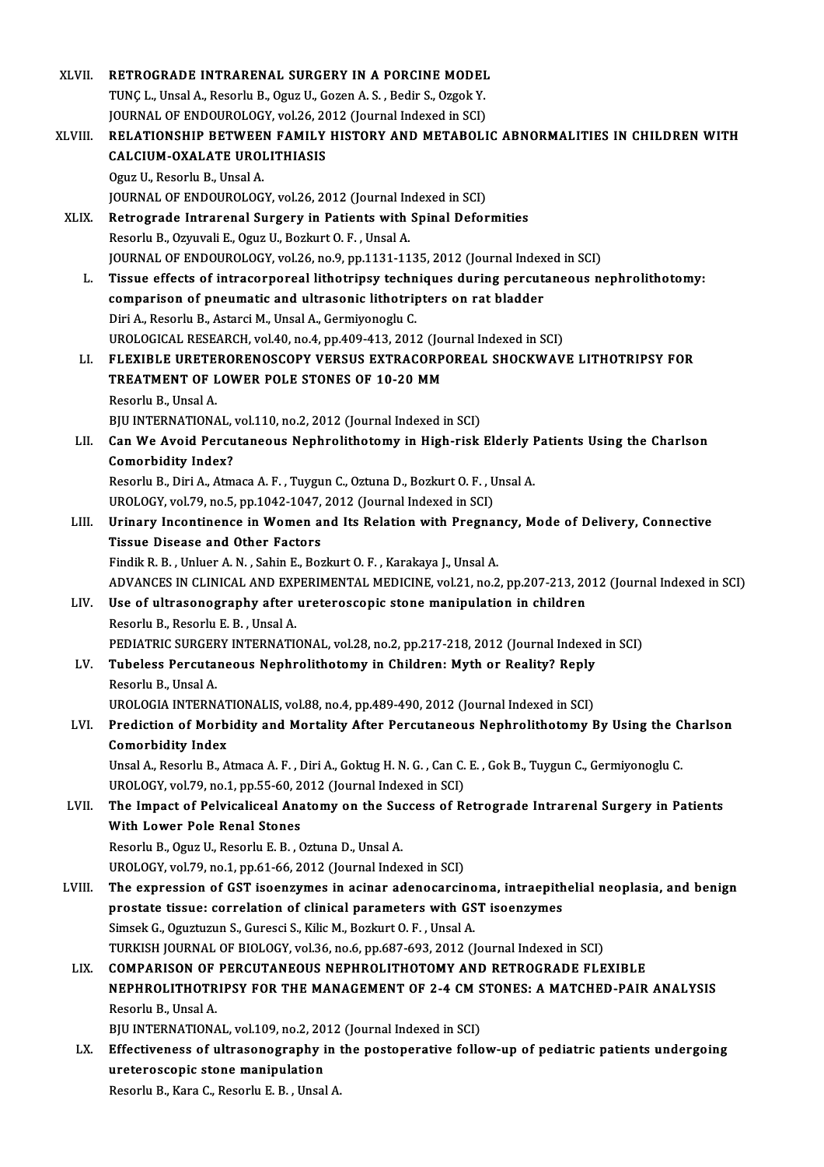| XLVII.  | RETROGRADE INTRARENAL SURGERY IN A PORCINE MODEL                                                                 |
|---------|------------------------------------------------------------------------------------------------------------------|
|         | TUNÇ L., Unsal A., Resorlu B., Oguz U., Gozen A. S., Bedir S., Ozgok Y.                                          |
|         | JOURNAL OF ENDOUROLOGY, vol.26, 2012 (Journal Indexed in SCI)                                                    |
| XLVIII. | RELATIONSHIP BETWEEN FAMILY HISTORY AND METABOLIC ABNORMALITIES IN CHILDREN WITH                                 |
|         | CALCIUM-OXALATE UROLITHIASIS                                                                                     |
|         | Oguz U., Resorlu B., Unsal A.                                                                                    |
|         | JOURNAL OF ENDOUROLOGY, vol.26, 2012 (Journal Indexed in SCI)                                                    |
| XLIX.   | Retrograde Intrarenal Surgery in Patients with Spinal Deformities                                                |
|         | Resorlu B., Ozyuvali E., Oguz U., Bozkurt O. F., Unsal A.                                                        |
|         | JOURNAL OF ENDOUROLOGY, vol.26, no.9, pp.1131-1135, 2012 (Journal Indexed in SCI)                                |
| L.      | Tissue effects of intracorporeal lithotripsy techniques during percutaneous nephrolithotomy:                     |
|         | comparison of pneumatic and ultrasonic lithotripters on rat bladder                                              |
|         | Diri A., Resorlu B., Astarci M., Unsal A., Germiyonoglu C.                                                       |
|         | UROLOGICAL RESEARCH, vol.40, no.4, pp.409-413, 2012 (Journal Indexed in SCI)                                     |
| LI.     | FLEXIBLE URETERORENOSCOPY VERSUS EXTRACORPOREAL SHOCKWAVE LITHOTRIPSY FOR                                        |
|         | TREATMENT OF LOWER POLE STONES OF 10-20 MM                                                                       |
|         | Resorlu B., Unsal A.                                                                                             |
|         | BJU INTERNATIONAL, vol.110, no.2, 2012 (Journal Indexed in SCI)                                                  |
| LII.    | Can We Avoid Percutaneous Nephrolithotomy in High-risk Elderly Patients Using the Charlson                       |
|         | <b>Comorbidity Index?</b>                                                                                        |
|         | Resorlu B., Diri A., Atmaca A. F., Tuygun C., Oztuna D., Bozkurt O. F., Unsal A.                                 |
|         | UROLOGY, vol.79, no.5, pp.1042-1047, 2012 (Journal Indexed in SCI)                                               |
| LIII.   | Urinary Incontinence in Women and Its Relation with Pregnancy, Mode of Delivery, Connective                      |
|         | <b>Tissue Disease and Other Factors</b>                                                                          |
|         | Findik R. B., Unluer A. N., Sahin E., Bozkurt O. F., Karakaya J., Unsal A.                                       |
|         | ADVANCES IN CLINICAL AND EXPERIMENTAL MEDICINE, vol.21, no.2, pp.207-213, 2012 (Journal Indexed in SCI)          |
| LIV.    | Use of ultrasonography after ureteroscopic stone manipulation in children<br>Resorlu B., Resorlu E. B., Unsal A. |
|         | PEDIATRIC SURGERY INTERNATIONAL, vol.28, no.2, pp.217-218, 2012 (Journal Indexed in SCI)                         |
| LV.     | Tubeless Percutaneous Nephrolithotomy in Children: Myth or Reality? Reply                                        |
|         | Resorlu B., Unsal A.                                                                                             |
|         | UROLOGIA INTERNATIONALIS, vol.88, no.4, pp.489-490, 2012 (Journal Indexed in SCI)                                |
| LVI.    | Prediction of Morbidity and Mortality After Percutaneous Nephrolithotomy By Using the Charlson                   |
|         | <b>Comorbidity Index</b>                                                                                         |
|         | Unsal A., Resorlu B., Atmaca A. F., Diri A., Goktug H. N. G., Can C. E., Gok B., Tuygun C., Germiyonoglu C.      |
|         | UROLOGY, vol.79, no.1, pp.55-60, 2012 (Journal Indexed in SCI)                                                   |
| LVII.   | The Impact of Pelvicaliceal Anatomy on the Success of Retrograde Intrarenal Surgery in Patients                  |
|         | With Lower Pole Renal Stones                                                                                     |
|         | Resorlu B., Oguz U., Resorlu E. B., Oztuna D., Unsal A.                                                          |
|         | UROLOGY, vol 79, no.1, pp.61-66, 2012 (Journal Indexed in SCI)                                                   |
| LVIII.  | The expression of GST isoenzymes in acinar adenocarcinoma, intraepithelial neoplasia, and benign                 |
|         | prostate tissue: correlation of clinical parameters with GST isoenzymes                                          |
|         | Simsek G., Oguztuzun S., Guresci S., Kilic M., Bozkurt O. F., Unsal A.                                           |
|         | TURKISH JOURNAL OF BIOLOGY, vol.36, no.6, pp.687-693, 2012 (Journal Indexed in SCI)                              |
| LIX.    | COMPARISON OF PERCUTANEOUS NEPHROLITHOTOMY AND RETROGRADE FLEXIBLE                                               |
|         | NEPHROLITHOTRIPSY FOR THE MANAGEMENT OF 2-4 CM STONES: A MATCHED-PAIR ANALYSIS                                   |
|         | Resorlu B., Unsal A.                                                                                             |
|         | BJU INTERNATIONAL, vol.109, no.2, 2012 (Journal Indexed in SCI)                                                  |
| LX.     | Effectiveness of ultrasonography in the postoperative follow-up of pediatric patients undergoing                 |
|         | ureteroscopic stone manipulation                                                                                 |
|         | Resorlu B., Kara C., Resorlu E. B., Unsal A.                                                                     |
|         |                                                                                                                  |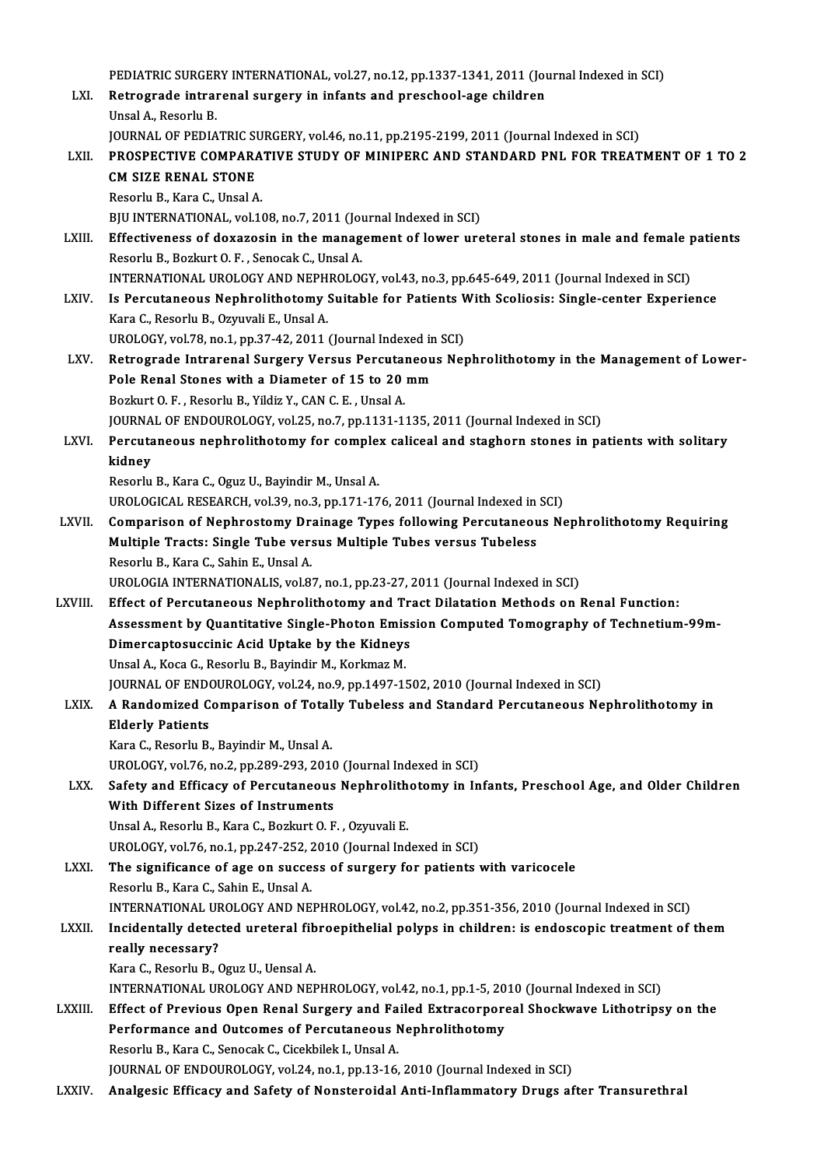PEDIATRIC SURGERY INTERNATIONAL, vol.27, no.12, pp.1337-1341, 2011 (Journal Indexed in SCI)<br>Retresurede intrarenal surgery in infants and preschool age shildren PEDIATRIC SURGERY INTERNATIONAL, vol.27, no.12, pp.1337-1341, 2011 (Journal<br>LXI. Retrograde intrarenal surgery in infants and preschool-age children PEDIATRIC SURGER<br><mark>Retrograde intrai</mark><br>Unsal A., Resorlu B.<br>JOUPNAL OF PEDIA Retrograde intrarenal surgery in infants and preschool-age children<br>Unsal A., Resorlu B.<br>JOURNAL OF PEDIATRIC SURGERY, vol.46, no.11, pp.2195-2199, 2011 (Journal Indexed in SCI) Unsal A., Resorlu B.<br>JOURNAL OF PEDIATRIC SURGERY, vol.46, no.11, pp.2195-2199, 2011 (Journal Indexed in SCI)<br>LXII. PROSPECTIVE COMPARATIVE STUDY OF MINIPERC AND STANDARD PNL FOR TREATMENT OF 1 TO 2<br>CM SIZE RENAL STONE **JOURNAL OF PEDIATRIC SUPROSPECTIVE COMPARATE**<br>CM SIZE RENAL STONE<br>Pecerly B. Kara C. Upsal A **PROSPECTIVE COMPARA<br>CM SIZE RENAL STONE<br>Resorlu B., Kara C., Unsal A.<br>PIU INTERNATIONAL VOL14** CM SIZE RENAL STONE<br>Resorlu B., Kara C., Unsal A.<br>BJU INTERNATIONAL, vol.108, no.7, 2011 (Journal Indexed in SCI)<br>Effectiveness of dovarosin in the management of lower urg Resorlu B., Kara C., Unsal A.<br>BJU INTERNATIONAL, vol.108, no.7, 2011 (Journal Indexed in SCI)<br>LXIII. Effectiveness of doxazosin in the management of lower ureteral stones in male and female patients<br>Resorlu B., Bozkurt O. BJU INTERNATIONAL, vol.108, no.7, 2011 (Journal Septectiveness of doxazosin in the manager<br>Resorlu B., Bozkurt O. F. , Senocak C., Unsal A.<br>INTERNATIONAL UROLOGY AND NERHROLOG Effectiveness of doxazosin in the management of lower ureteral stones in male and female p<br>Resorlu B., Bozkurt O. F. , Senocak C., Unsal A.<br>INTERNATIONAL UROLOGY AND NEPHROLOGY, vol.43, no.3, pp.645-649, 2011 (Journal Inde Resorlu B., Bozkurt O. F. , Senocak C., Unsal A.<br>INTERNATIONAL UROLOGY AND NEPHROLOGY, vol.43, no.3, pp.645-649, 2011 (Journal Indexed in SCI)<br>LXIV. Is Percutaneous Nephrolithotomy Suitable for Patients With Scoliosis: Sin INTERNATIONAL UROLOGY AND NEPH<br>Is Percutaneous Nephrolithotomy :<br>Kara C., Resorlu B., Ozyuvali E., Unsal A.<br>UPOLOCY .vel 79, no 1, nn 27, 42, 2011. Is Percutaneous Nephrolithotomy Suitable for Patients V<br>Kara C., Resorlu B., Ozyuvali E., Unsal A.<br>UROLOGY, vol.78, no.1, pp.37-42, 2011 (Journal Indexed in SCI)<br>Petresrede Intrerenal Surseuy Versus Persutaneous New Kara C., Resorlu B., Ozyuvali E., Unsal A.<br>UROLOGY, vol.78, no.1, pp.37-42, 2011 (Journal Indexed in SCI)<br>LXV. Retrograde Intrarenal Surgery Versus Percutaneous Nephrolithotomy in the Management of Lower-<br>Pels Bonel Stanes UROLOGY, vol.78, no.1, pp.37-42, 2011 (Journal Indexed in<br>Retrograde Intrarenal Surgery Versus Percutaneou<br>Pole Renal Stones with a Diameter of 15 to 20 mm<br>Porluut O.E., Beseriu B. Vildig V. CAN.C.E., Ungel A Retrograde Intrarenal Surgery Versus Percutal<br>Pole Renal Stones with a Diameter of 15 to 20<br>Bozkurt O.F., Resorlu B., Yildiz Y., CAN C.E., Unsal A.<br>JOUPMAL OF ENDOUPOLOCY, val 25, no 7, nn 1121 1. Pole Renal Stones with a Diameter of 15 to 20 mm<br>Bozkurt O. F. , Resorlu B., Yildiz Y., CAN C. E. , Unsal A.<br>JOURNAL OF ENDOUROLOGY, vol.25, no.7, pp.1131-1135, 2011 (Journal Indexed in SCI) Bozkurt O. F. , Resorlu B., Yildiz Y., CAN C. E. , Unsal A.<br>JOURNAL OF ENDOUROLOGY, vol.25, no.7, pp.1131-1135, 2011 (Journal Indexed in SCI)<br>LXVI. Percutaneous nephrolithotomy for complex caliceal and staghorn stones in p JOURNA<br>Percuta<br>kidney Percutaneous nephrolithotomy for comple:<br>kidney<br>Resorlu B., Kara C., Oguz U., Bayindir M., Unsal A.<br>UPOLOCICAL PESEARCH vol 29 no 2, nn 171 17 kidney<br>Resorlu B., Kara C., Oguz U., Bayindir M., Unsal A.<br>UROLOGICAL RESEARCH, vol.39, no.3, pp.171-176, 2011 (Journal Indexed in SCI) Resorlu B., Kara C., Oguz U., Bayindir M., Unsal A.<br>UROLOGICAL RESEARCH, vol.39, no.3, pp.171-176, 2011 (Journal Indexed in SCI)<br>LXVII. Comparison of Nephrostomy Drainage Types following Percutaneous Nephrolithotomy Re UROLOGICAL RESEARCH, vol.39, no.3, pp.171-176, 2011 (Journal Indexed in<br>Comparison of Nephrostomy Drainage Types following Percutaneou<br>Multiple Tracts: Single Tube versus Multiple Tubes versus Tubeless<br>Peserly B. Kara C. S Comparison of Nephrostomy Dr.<br>Multiple Tracts: Single Tube ver:<br>Resorlu B., Kara C., Sahin E., Unsal A.<br>UPOLOCIA INTERNATIONALIS, Vol.2. Multiple Tracts: Single Tube versus Multiple Tubes versus Tubeless<br>Resorlu B., Kara C., Sahin E., Unsal A.<br>UROLOGIA INTERNATIONALIS, vol.87, no.1, pp.23-27, 2011 (Journal Indexed in SCI) LXVIII. Effect of Percutaneous Nephrolithotomy and Tract Dilatation Methods on Renal Function: Assessment by Quantitative Single-Photon Emission Computed Tomography of Technetium-99m-Effect of Percutaneous Nephrolithotomy and Tr<br>Assessment by Quantitative Single-Photon Emiss<br>Dimercaptosuccinic Acid Uptake by the Kidneys<br>Upsal A. Kesa G. Beserly B. Bayindir M. Korlimaz M. Assessment by Quantitative Single-Photon Emis<br>Dimercaptosuccinic Acid Uptake by the Kidneys<br>Unsal A., Koca G., Resorlu B., Bayindir M., Korkmaz M.<br>JOUPMAL OF ENDOUPOLOCY vel 24, no 9, nn 1497 11 Unsal A., Koca G., Resorlu B., Bayindir M., Korkmaz M.<br>JOURNAL OF ENDOUROLOGY, vol.24, no.9, pp.1497-1502, 2010 (Journal Indexed in SCI) Unsal A., Koca G., Resorlu B., Bayindir M., Korkmaz M.<br>JOURNAL OF ENDOUROLOGY, vol.24, no.9, pp.1497-1502, 2010 (Journal Indexed in SCI)<br>LXIX. A Randomized Comparison of Totally Tubeless and Standard Percutaneous Nephrolit **JOURNAL OF ENDON**<br>**A Randomized C<br>Elderly Patients**<br>Kara C Basarly P A Randomized Comparison of Total<br>Elderly Patients<br>Kara C., Resorlu B., Bayindir M., Unsal A.<br>UPOLOCY vel 76 no 2 nn 280 292 2014 Elderly Patients<br>Kara C., Resorlu B., Bayindir M., Unsal A.<br>UROLOGY, vol.76, no.2, pp.289-293, 2010 (Journal Indexed in SCI)<br>Sefety and Efficesy of Bonsutaneous Nonbrolithetery in In Kara C., Resorlu B., Bayindir M., Unsal A.<br>UROLOGY, vol.76, no.2, pp.289-293, 2010 (Journal Indexed in SCI)<br>LXX. Safety and Efficacy of Percutaneous Nephrolithotomy in Infants, Preschool Age, and Older Children<br>With Differ UROLOGY, vol.76, no.2, pp.289-293, 2010<br>Safety and Efficacy of Percutaneous<br>With Different Sizes of Instruments<br>Uncel A. Beserly B. Kara C. Beglaut O. E Unsal A., Resorlu B., Kara C., Bozkurt O. F., Ozyuvali E. With Different Sizes of Instruments<br>Unsal A., Resorlu B., Kara C., Bozkurt O. F. , Ozyuvali E.<br>UROLOGY, vol.76, no.1, pp.247-252, 2010 (Journal Indexed in SCI)<br>The significance of age on sussess of surgery for patients : LXXI. The significance of age on success of surgery for patients with varicocele<br>Resorlu B., Kara C., Sahin E., Unsal A. UROLOGY, vol.76, no.1, pp.247-252, 2<br>The significance of age on succe<br>Resorlu B., Kara C., Sahin E., Unsal A.<br>INTERNATIONAL UROLOCY AND NE The significance of age on success of surgery for patients with varicocele<br>Resorlu B., Kara C., Sahin E., Unsal A.<br>INTERNATIONAL UROLOGY AND NEPHROLOGY, vol.42, no.2, pp.351-356, 2010 (Journal Indexed in SCI)<br>Insidentally Resorlu B., Kara C., Sahin E., Unsal A.<br>INTERNATIONAL UROLOGY AND NEPHROLOGY, vol.42, no.2, pp.351-356, 2010 (Journal Indexed in SCI)<br>LXXII. Incidentally detected ureteral fibroepithelial polyps in children: is endosco INTERNATIONAL UF<br>Incidentally detec<br>really necessary?<br>*Vara C. Bassa*lu B. ( Incidentally detected ureteral fib<br>really necessary?<br>Kara C., Resorlu B., Oguz U., Uensal A.<br>INTERNATIONAL UROLOCY AND NEE really necessary?<br>Kara C., Resorlu B., Oguz U., Uensal A.<br>INTERNATIONAL UROLOGY AND NEPHROLOGY, vol.42, no.1, pp.1-5, 2010 (Journal Indexed in SCI)<br>Effect of Previous Open Benel Surgery and Foiled Extresserpereal Sheckways Kara C., Resorlu B., Oguz U., Uensal A.<br>INTERNATIONAL UROLOGY AND NEPHROLOGY, vol.42, no.1, pp.1-5, 2010 (Journal Indexed in SCI)<br>LXXIII. Effect of Previous Open Renal Surgery and Failed Extracorporeal Shockwave Lithotr INTERNATIONAL UROLOGY AND NEPHROLOGY, vol.42, no.1, pp.1-5, 20<br>Effect of Previous Open Renal Surgery and Failed Extracorpore<br>Performance and Outcomes of Percutaneous Nephrolithotomy<br>Perculu B. Kara C. Sanagek C. Giachbilek Performance and Outcomes of Percutaneous Nephrolithotomy<br>Resorlu B., Kara C., Senocak C., Cicekbilek I., Unsal A. JOURNAL OF ENDOUROLOGY, vol.24, no.1, pp.13-16, 2010 (Journal Indexed in SCI) LXXIV. Analgesic Efficacy and Safety of Nonsteroidal Anti-Inflammatory Drugs after Transurethral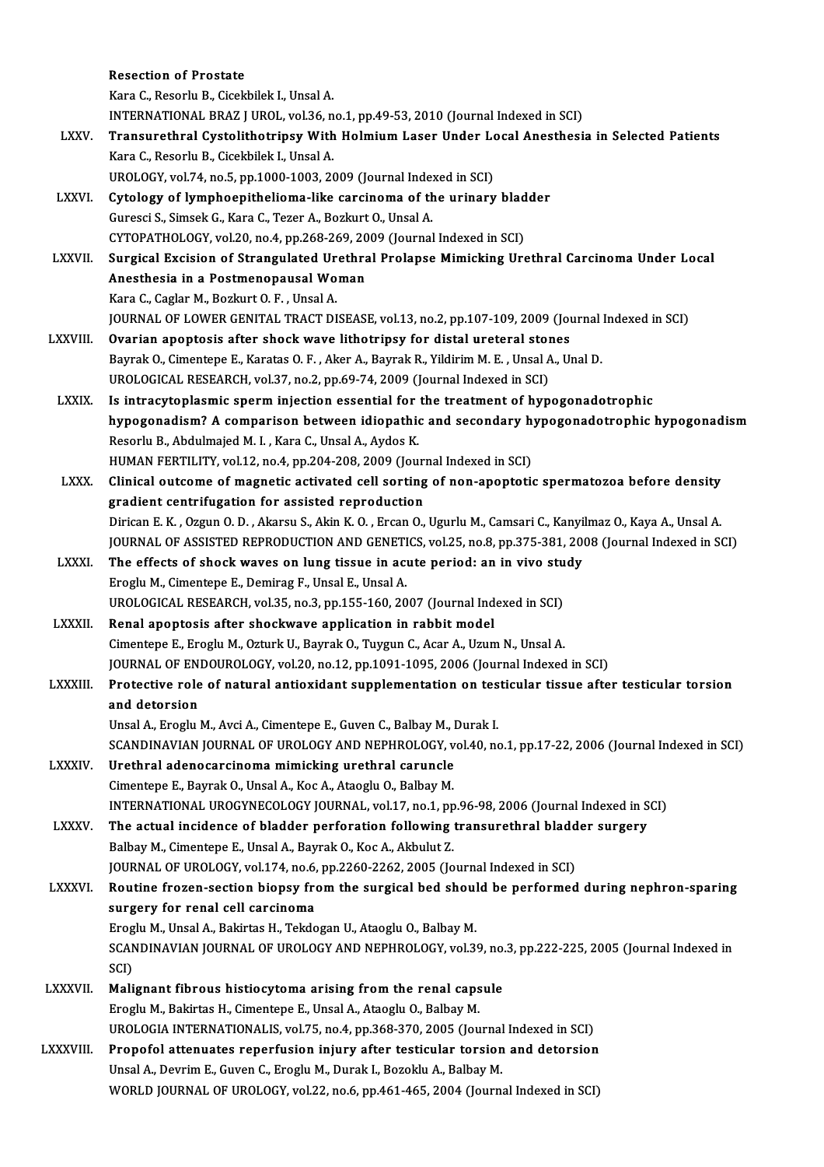|                 | <b>Resection of Prostate</b>                                                                                     |
|-----------------|------------------------------------------------------------------------------------------------------------------|
|                 | Kara C., Resorlu B., Cicekbilek I., Unsal A.                                                                     |
|                 | INTERNATIONAL BRAZ J UROL, vol.36, no.1, pp.49-53, 2010 (Journal Indexed in SCI)                                 |
| <b>LXXV</b>     | Transurethral Cystolithotripsy With Holmium Laser Under Local Anesthesia in Selected Patients                    |
|                 | Kara C., Resorlu B., Cicekbilek I., Unsal A.                                                                     |
|                 | UROLOGY, vol.74, no.5, pp.1000-1003, 2009 (Journal Indexed in SCI)                                               |
| LXXVI.          | Cytology of lymphoepithelioma-like carcinoma of the urinary bladder                                              |
|                 | Guresci S., Simsek G., Kara C., Tezer A., Bozkurt O., Unsal A.                                                   |
|                 | CYTOPATHOLOGY, vol.20, no.4, pp.268-269, 2009 (Journal Indexed in SCI)                                           |
| <b>LXXVII</b>   | Surgical Excision of Strangulated Urethral Prolapse Mimicking Urethral Carcinoma Under Local                     |
|                 | Anesthesia in a Postmenopausal Woman                                                                             |
|                 | Kara C., Caglar M., Bozkurt O. F., Unsal A.                                                                      |
|                 | JOURNAL OF LOWER GENITAL TRACT DISEASE, vol.13, no.2, pp.107-109, 2009 (Journal Indexed in SCI)                  |
| LXXVIII.        | Ovarian apoptosis after shock wave lithotripsy for distal ureteral stones                                        |
|                 | Bayrak O., Cimentepe E., Karatas O. F., Aker A., Bayrak R., Yildirim M. E., Unsal A., Unal D.                    |
|                 | UROLOGICAL RESEARCH, vol.37, no.2, pp.69-74, 2009 (Journal Indexed in SCI)                                       |
| <b>LXXIX</b>    | Is intracytoplasmic sperm injection essential for the treatment of hypogonadotrophic                             |
|                 | hypogonadism? A comparison between idiopathic and secondary hypogonadotrophic hypogonadism                       |
|                 | Resorlu B., Abdulmajed M. I., Kara C., Unsal A., Aydos K.                                                        |
|                 | HUMAN FERTILITY, vol.12, no.4, pp.204-208, 2009 (Journal Indexed in SCI)                                         |
| <b>LXXX</b>     | Clinical outcome of magnetic activated cell sorting of non-apoptotic spermatozoa before density                  |
|                 | gradient centrifugation for assisted reproduction                                                                |
|                 | Dirican E.K., Ozgun O.D., Akarsu S., Akin K.O., Ercan O., Ugurlu M., Camsari C., Kanyilmaz O., Kaya A., Unsal A. |
|                 | JOURNAL OF ASSISTED REPRODUCTION AND GENETICS, vol.25, no.8, pp.375-381, 2008 (Journal Indexed in SCI)           |
| <b>LXXXI</b>    | The effects of shock waves on lung tissue in acute period: an in vivo study                                      |
|                 | Eroglu M., Cimentepe E., Demirag F., Unsal E., Unsal A.                                                          |
|                 | UROLOGICAL RESEARCH, vol.35, no.3, pp.155-160, 2007 (Journal Indexed in SCI)                                     |
| <b>LXXXII</b>   | Renal apoptosis after shockwave application in rabbit model                                                      |
|                 | Cimentepe E., Eroglu M., Ozturk U., Bayrak O., Tuygun C., Acar A., Uzum N., Unsal A.                             |
|                 | JOURNAL OF ENDOUROLOGY, vol.20, no.12, pp.1091-1095, 2006 (Journal Indexed in SCI)                               |
| LXXXIII.        | Protective role of natural antioxidant supplementation on testicular tissue after testicular torsion             |
|                 | and detorsion                                                                                                    |
|                 | Unsal A., Eroglu M., Avci A., Cimentepe E., Guven C., Balbay M., Durak I.                                        |
|                 | SCANDINAVIAN JOURNAL OF UROLOGY AND NEPHROLOGY, vol.40, no.1, pp.17-22, 2006 (Journal Indexed in SCI)            |
| LXXXIV.         | Urethral adenocarcinoma mimicking urethral caruncle                                                              |
|                 | Cimentepe E., Bayrak O., Unsal A., Koc A., Ataoglu O., Balbay M.                                                 |
|                 | INTERNATIONAL UROGYNECOLOGY JOURNAL, vol.17, no.1, pp.96-98, 2006 (Journal Indexed in SCI)                       |
| LXXXV.          | The actual incidence of bladder perforation following transurethral bladder surgery                              |
|                 | Balbay M., Cimentepe E., Unsal A., Bayrak O., Koc A., Akbulut Z.                                                 |
|                 | JOURNAL OF UROLOGY, vol.174, no.6, pp.2260-2262, 2005 (Journal Indexed in SCI)                                   |
| <b>LXXXVI</b> . | Routine frozen-section biopsy from the surgical bed should be performed during nephron-sparing                   |
|                 | surgery for renal cell carcinoma                                                                                 |
|                 | Eroglu M., Unsal A., Bakirtas H., Tekdogan U., Ataoglu O., Balbay M.                                             |
|                 | SCANDINAVIAN JOURNAL OF UROLOGY AND NEPHROLOGY, vol.39, no.3, pp.222-225, 2005 (Journal Indexed in               |
|                 | SCI)                                                                                                             |
| LXXXVII.        | Malignant fibrous histiocytoma arising from the renal capsule                                                    |
|                 | Eroglu M., Bakirtas H., Cimentepe E., Unsal A., Ataoglu O., Balbay M.                                            |
|                 | UROLOGIA INTERNATIONALIS, vol.75, no.4, pp.368-370, 2005 (Journal Indexed in SCI)                                |
| LXXXVIII.       | Propofol attenuates reperfusion injury after testicular torsion and detorsion                                    |
|                 | Unsal A., Devrim E., Guven C., Eroglu M., Durak I., Bozoklu A., Balbay M.                                        |
|                 | WORLD JOURNAL OF UROLOGY, vol.22, no.6, pp.461-465, 2004 (Journal Indexed in SCI)                                |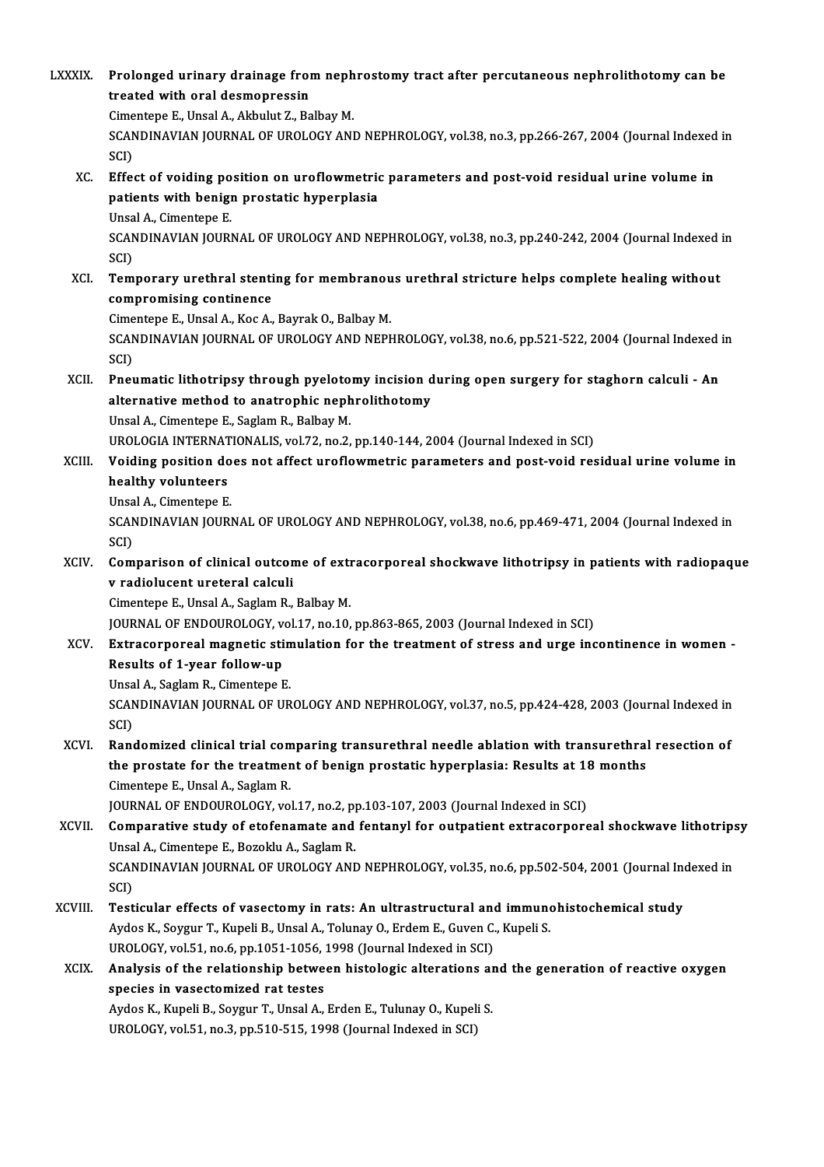| <b>LXXXIX.</b> | Prolonged urinary drainage from nephrostomy tract after percutaneous nephrolithotomy can be<br>treated with oral desmopressin<br>Cimentepe E., Unsal A., Akbulut Z., Balbay M.                                                                                              |
|----------------|-----------------------------------------------------------------------------------------------------------------------------------------------------------------------------------------------------------------------------------------------------------------------------|
|                | SCANDINAVIAN JOURNAL OF UROLOGY AND NEPHROLOGY, vol.38, no.3, pp.266-267, 2004 (Journal Indexed in<br>SCI)                                                                                                                                                                  |
| XC.            | Effect of voiding position on uroflowmetric parameters and post-void residual urine volume in<br>patients with benign prostatic hyperplasia<br>Unsal A., Cimentepe E.<br>SCANDINAVIAN JOURNAL OF UROLOGY AND NEPHROLOGY, vol.38, no.3, pp.240-242, 2004 (Journal Indexed in |
| XCI.           | SCI)<br>Temporary urethral stenting for membranous urethral stricture helps complete healing without                                                                                                                                                                        |
|                | compromising continence                                                                                                                                                                                                                                                     |
|                | Cimentepe E., Unsal A., Koc A., Bayrak O., Balbay M.<br>SCANDINAVIAN JOURNAL OF UROLOGY AND NEPHROLOGY, vol.38, no.6, pp.521-522, 2004 (Journal Indexed in<br>SCI)                                                                                                          |
| XCII.          | Pneumatic lithotripsy through pyelotomy incision during open surgery for staghorn calculi - An<br>alternative method to anatrophic nephrolithotomy<br>Unsal A., Cimentepe E., Saglam R., Balbay M.                                                                          |
|                | UROLOGIA INTERNATIONALIS, vol.72, no.2, pp.140-144, 2004 (Journal Indexed in SCI)                                                                                                                                                                                           |
| XCIII.         | Voiding position does not affect uroflowmetric parameters and post-void residual urine volume in<br>healthy volunteers<br>Unsal A., Cimentepe E.                                                                                                                            |
|                | SCANDINAVIAN JOURNAL OF UROLOGY AND NEPHROLOGY, vol.38, no.6, pp.469-471, 2004 (Journal Indexed in<br>SCI)                                                                                                                                                                  |
| XCIV.          | Comparison of clinical outcome of extracorporeal shockwave lithotripsy in patients with radiopaque<br>v radiolucent ureteral calculi                                                                                                                                        |
|                | Cimentepe E., Unsal A., Saglam R., Balbay M.<br>JOURNAL OF ENDOUROLOGY, vol.17, no.10, pp.863-865, 2003 (Journal Indexed in SCI)                                                                                                                                            |
| XCV.           | Extracorporeal magnetic stimulation for the treatment of stress and urge incontinence in women -<br>Results of 1-year follow-up                                                                                                                                             |
|                | Unsal A., Saglam R., Cimentepe E.<br>SCANDINAVIAN JOURNAL OF UROLOGY AND NEPHROLOGY, vol.37, no.5, pp.424-428, 2003 (Journal Indexed in<br>SCI)                                                                                                                             |
| XCVI.          | Randomized clinical trial comparing transurethral needle ablation with transurethral resection of<br>the prostate for the treatment of benign prostatic hyperplasia: Results at 18 months<br>Cimentepe E., Unsal A., Saglam R.                                              |
| XCVII.         | JOURNAL OF ENDOUROLOGY, vol.17, no.2, pp.103-107, 2003 (Journal Indexed in SCI)<br>Comparative study of etofenamate and fentanyl for outpatient extracorporeal shockwave lithotripsy<br>Unsal A., Cimentepe E., Bozoklu A., Saglam R.                                       |
|                | SCANDINAVIAN JOURNAL OF UROLOGY AND NEPHROLOGY, vol.35, no.6, pp.502-504, 2001 (Journal Indexed in<br>SCI)                                                                                                                                                                  |
| XCVIII.        | Testicular effects of vasectomy in rats: An ultrastructural and immunohistochemical study<br>Aydos K., Soygur T., Kupeli B., Unsal A., Tolunay O., Erdem E., Guven C., Kupeli S.<br>UROLOGY, vol.51, no.6, pp.1051-1056, 1998 (Journal Indexed in SCI)                      |
| <b>XCIX</b>    | Analysis of the relationship between histologic alterations and the generation of reactive oxygen<br>species in vasectomized rat testes                                                                                                                                     |
|                | Aydos K., Kupeli B., Soygur T., Unsal A., Erden E., Tulunay O., Kupeli S.<br>UROLOGY, vol.51, no.3, pp.510-515, 1998 (Journal Indexed in SCI)                                                                                                                               |
|                |                                                                                                                                                                                                                                                                             |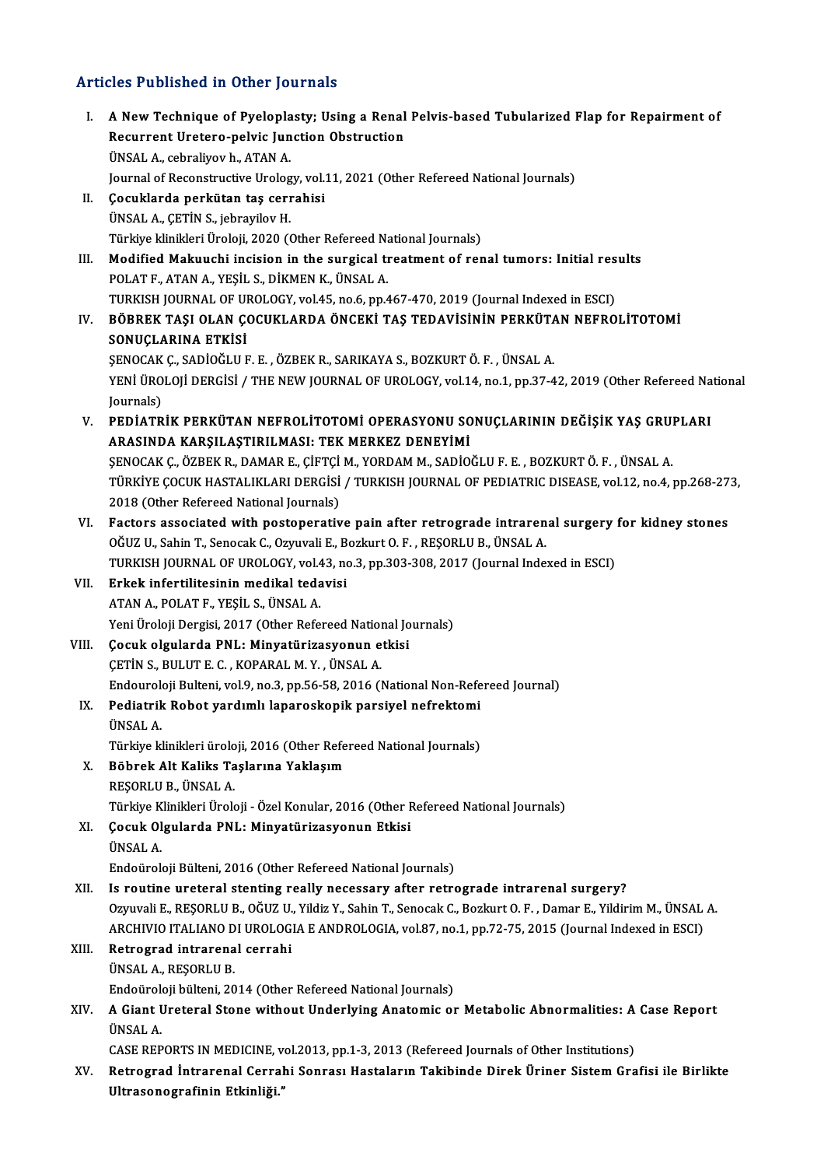#### Articles Published in Other Journals

rticles Published in Other Journals<br>I. A New Technique of Pyeloplasty; Using a Renal Pelvis-based Tubularized Flap for Repairment of<br>Requirent Uratore politic Jungtion Obstruction Recurrent Uretero-pelvic Junction<br>A New Technique of Pyeloplasty; Using a Renal<br>Recurrent Uretero-pelvic Junction Obstruction Recurrent Uretero-pelvic Junction Obstruction<br>ÜNSAL A., cebraliyov h., ATAN A. Journal of Reconstructive Urology, vol.11, 2021 (Other Refereed National Journals) II. Çocuklarda perkütan taş cerrahisi ÜNSALA.,ÇETİNS., jebrayilovH. Türkiye klinikleri Üroloji, 2020 (Other Refereed National Journals) UNSAL A., ÇETİN S., jebrayilov H.<br>Türkiye klinikleri Üroloji, 2020 (Other Refereed National Journals)<br>III. Modified Makuuchi incision in the surgical treatment of renal tumors: Initial results<br>POLATE ATANA YESU S. DİYMENIY POLAT F., ATAN A., YEŞİL S., DİKMEN K., ÜNSAL A.<br>TURKISH JOURNAL OF UROLOGY, vol.45, no.6, pp.467-470, 2019 (Journal Indexed in ESCI) Modified Makuuchi incision in the surgical treatment of renal tumors: Initial res<br>POLAT F., ATAN A., YEŞİL S., DİKMEN K., ÜNSAL A.<br>TURKISH JOURNAL OF UROLOGY, vol.45, no.6, pp.467-470, 2019 (Journal Indexed in ESCI)<br>PÖPPEK POLAT F., ATAN A., YEŞİL S., DİKMEN K., ÜNSAL A.<br>TURKISH JOURNAL OF UROLOGY, vol.45, no.6, pp.467-470, 2019 (Journal Indexed in ESCI)<br>IV. BÖBREK TAŞI OLAN ÇOCUKLARDA ÖNCEKİ TAŞ TEDAVİSİNİN PERKÜTAN NEFROLİTOTOMİ<br>SONUCL SONUÇLARINA ETKİSİ BÖBREK TAŞI OLAN ÇOCUKLARDA ÖNCEKİ TAŞ TEDAVİSİNİN PERKÜTA<br>SONUÇLARINA ETKİSİ<br>ŞENOCAK Ç., SADİOĞLU F. E. , ÖZBEK R., SARIKAYA S., BOZKURT Ö. F. , ÜNSAL A.<br>YENİ ÜROLOJİ DERÇİSİ / TUE NEW JOURNAL OE UROLOCY YALLA PR 1 PR 37 YENİ ÜROLOJİ DERGİSİ / THE NEW JOURNAL OF UROLOGY, vol.14, no.1, pp.37-42, 2019 (Other Refereed National Journals) SENOCAK C., SADİOĞLU F. E., ÖZBEK R., SARIKAYA S., BOZKURT Ö. F., ÜNSAL A. YENİ ÜROLOJİ DERGİSİ / THE NEW JOURNAL OF UROLOGY, vol.14, no.1, pp.37-42, 2019 (Other Refereed Na<br>Journals)<br>V. PEDİATRİK PERKÜTAN NEFROLİTOTOMİ OPERASYONU SONUÇLARININ DEĞİŞİK YAŞ GRUPLARI<br>ARASINDA KARSILASTIRILMASI, TEK Journals)<br>PEDİATRİK PERKÜTAN NEFROLİTOTOMİ OPERASYONU SO<br>ARASINDA KARŞILAŞTIRILMASI: TEK MERKEZ DENEYİMİ<br>SENOCAK C. ÖZPEKR, DAMAR E. CİETCİ M. YORDAM M. SADİQ PEDİATRİK PERKÜTAN NEFROLİTOTOMİ OPERASYONU SONUÇLARININ DEĞIŞIK YAŞ GRU!<br>ARASINDA KARŞILAŞTIRILMASI: TEK MERKEZ DENEYIMİ<br>ŞENOCAK Ç., ÖZBEK R., DAMAR E., ÇİFTÇİ M., YORDAM M., SADİOĞLU F. E. , BOZKURT Ö. F. , ÜNSAL A.<br>TÜRK ARASINDA KARŞILAŞTIRILMASI: TEK MERKEZ DENEYİMİ<br>ŞENOCAK Ç., ÖZBEK R., DAMAR E., ÇİFTÇİ M., YORDAM M., SADİOĞLU F. E. , BOZKURT Ö. F. , ÜNSAL A.<br>TÜRKİYE ÇOCUK HASTALIKLARI DERGİSİ / TURKISH JOURNAL OF PEDIATRIC DISEASE, vol SENOCAK Ç., ÖZBEK R., DAMAR E., ÇİFTÇİ<br>TÜRKİYE ÇOCUK HASTALIKLARI DERGİSİ<br>2018 (Other Refereed National Journals)<br>Festare associated with pestaponativ TÜRKİYE ÇOCUK HASTALIKLARI DERGİSİ / TURKISH JOURNAL OF PEDIATRIC DISEASE, vol.12, no.4, pp.268-27<br>2018 (Other Refereed National Journals)<br>VI. Factors associated with postoperative pain after retrograde intrarenal surgery 2018 (Other Refereed National Journals)<br>Factors associated with postoperative pain after retrograde intraren<br>OĞUZ U., Sahin T., Senocak C., Ozyuvali E., Bozkurt O. F. , REŞORLU B., ÜNSAL A.<br>TURKISH JOURNAL OF UROLOCY, vel Factors associated with postoperative pain after retrograde intrarenal surgery<br>OĞUZ U., Sahin T., Senocak C., Ozyuvali E., Bozkurt O. F. , REŞORLU B., ÜNSAL A.<br>TURKISH JOURNAL OF UROLOGY, vol.43, no.3, pp.303-308, 2017 (Jo OĞUZ U., Sahin T., Senocak C., Ozyuvali E., Bozkurt O. F. , REŞORLU B., ÜNSAL A.<br>TURKISH JOURNAL OF UROLOGY, vol.43, no.3, pp.303-308, 2017 (Journal Inde:<br>VII. Erkek infertilitesinin medikal tedavisi<br>ATAN A., POLAT F., YES TURKISH JOURNAL OF UROLOGY, vol.43, no.3, pp.303-308, 2017 (Journal Indexed in ESCI) Yeni Üroloji Dergisi, 2017 (Other Refereed National Journals) ATAN A., POLAT F., YEŞİL S., ÜNSAL A.<br>Yeni Üroloji Dergisi, 2017 (Other Refereed National Jo<br>VIII. Cocuk olgularda PNL: Minyatürizasyonun etkisi Yeni Üroloji Dergisi, 2017 (Other Refereed Nation<br>**Çocuk olgularda PNL: Minyatürizasyonun e**<br>ÇETİN S., BULUT E. C. , KOPARAL M. Y. , ÜNSAL A.<br>Endouralaji Bultani val 9 no 3 nn 56 59 2016 (l Çocuk olgularda PNL: Minyatürizasyonun etkisi<br>ÇETİN S., BULUT E. C. , KOPARAL M. Y. , ÜNSAL A.<br>Endouroloji Bulteni, vol.9, no.3, pp.56-58, 2016 (National Non-Refereed Journal)<br>Podiatrik Bobot vardımlı lanaroskanik narsiyal CETİN S., BULUT E. C. , KOPARAL M. Y. , ÜNSAL A.<br>Endouroloji Bulteni, vol.9, no.3, pp.56-58, 2016 (National Non-Refe<br>IX. Pediatrik Robot yardımlı laparoskopik parsiyel nefrektomi<br>İNSAL A Endourole<br>Pediatrik<br>ÜNSAL A.<br>Türkiye kl Pediatrik Robot yardımlı laparoskopik parsiyel nefrektomi<br>ÜNSAL A.<br>Türkiye klinikleri üroloji, 2016 (Other Refereed National Journals)<br>Pöhnek Alt Kolike Taslanına Yaklasım ÜNSAL A.<br>Türkiye klinikleri üroloji, 2016 (Other Refe<br>X. Böbrek Alt Kaliks Taşlarına Yaklaşım<br>RESORLU B., ÜNSAL A. Türkiye klinikleri üroloji, 2016 (Other Refereed National Journals) Türkiye Klinikleri Üroloji - Özel Konular, 2016 (Other Refereed National Journals) REŞORLU B., ÜNSAL A.<br>Türkiye Klinikleri Üroloji - Özel Konular, 2016 (Other F<br>XI. Çocuk Olgularda PNL: Minyatürizasyonun Etkisi<br>TINSAL A Türkiye K<br>**Çocuk Ol**<br>ÜNSAL A.<br>Endoürek ÜNSAL A.<br>Endoüroloji Bülteni, 2016 (Other Refereed National Journals) XII. Is routine ureteral stenting really necessary after retrograde intrarenal surgery? Endoüroloji Bülteni, 2016 (Other Refereed National Journals)<br>Is routine ureteral stenting really necessary after retrograde intrarenal surgery?<br>Ozyuvali E., REŞORLU B., OĞUZ U., Yildiz Y., Sahin T., Senocak C., Bozkurt O. Is routine ureteral stenting really necessary after retrograde intrarenal surgery?<br>Ozyuvali E., REŞORLU B., OĞUZ U., Yildiz Y., Sahin T., Senocak C., Bozkurt O. F. , Damar E., Yildirim M., ÜNSAL<br>ARCHIVIO ITALIANO DI UROLOG Ozyuvali E., REŞORLU B., OĞUZ U.<br>ARCHIVIO ITALIANO DI UROLOG.<br>XIII. Retrograd intrarenal cerrahi ARCHIVIO ITALIANO DI UROLOGIA E ANDROLOGIA, vol.87, no.1, pp.72-75, 2015 (Journal Indexed in ESCI)<br>Retrograd intrarenal cerrahi<br>ÜNSAL A., REŞORLU B. Retrograd intrarenal cerrahi<br>ÜNSAL A., REŞORLU B.<br>Endoüroloji bülteni, 2014 (Other Refereed National Journals)<br>A.Ciant Ureteral Stane without Underlying Anatomis et ÜNSAL A., REŞORLU B.<br>Endoüroloji bülteni, 2014 (Other Refereed National Journals)<br>XIV. A Giant Ureteral Stone without Underlying Anatomic or Metabolic Abnormalities: A Case Report<br>IINSAL A Endoürole<br>A Giant U<br>ÜNSAL A.<br>CASE PEP A Giant Ureteral Stone without Underlying Anatomic or Metabolic Abnormalities: A<br>ÜNSAL A.<br>CASE REPORTS IN MEDICINE, vol.2013, pp.1-3, 2013 (Refereed Journals of Other Institutions)<br>Petresred Intrarenal Cerrabi Sonras: Hest ÜNSAL A.<br>CASE REPORTS IN MEDICINE, vol.2013, pp.1-3, 2013 (Refereed Journals of Other Institutions)<br>XV. Retrograd İntrarenal Cerrahi Sonrası Hastaların Takibinde Direk Üriner Sistem Grafisi ile Birlikte<br>Ultrasonografin CASE REPORTS IN MEDICINE, vol.2013, pp.1-3, 2013 (Refereed Journals of Other Institutions)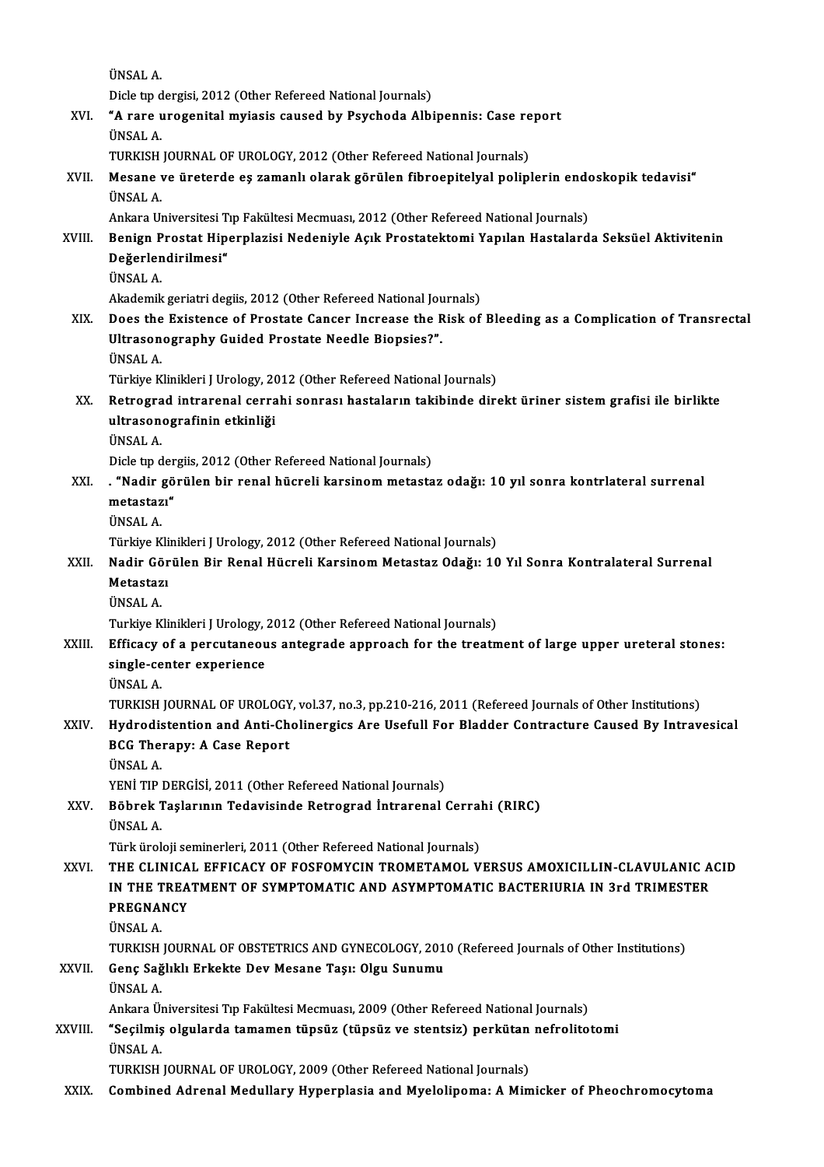ÜNSALA.

Dicle tip dergisi, 2012 (Other Refereed National Journals)

UNSAL A.<br>Dicle tip dergisi, 2012 (Other Refereed National Journals)<br>XVI. "A rare urogenital myiasis caused by Psychoda Albipennis: Case report<br><sup>TINGAL A</sup> Dicle tip d<br>**"A rare u<br>ÜNSAL A.**<br>TUPKISH "A rare urogenital myiasis caused by Psychoda Albipennis: Case re<br>ÜNSAL A.<br>TURKISH JOURNAL OF UROLOGY, 2012 (Other Refereed National Journals)<br>Mesane ve üneterde es zamanlı olarak görülen fibreenitelyel polinl

## ÜNSAL A.<br>TURKISH JOURNAL OF UROLOGY, 2012 (Other Refereed National Journals)<br>XVII. Mesane ve üreterde eş zamanlı olarak görülen fibroepitelyal poliplerin endoskopik tedavisi"<br>ÜNSAL A TURKISH JOURNAL OF UROLOGY, 2012 (Other Refereed National Journals)<br>Mesane ve üreterde eş zamanlı olarak görülen fibroepitelyal poliplerin end<br>ÜNSAL A.<br>Ankara Universitesi Tıp Fakültesi Mecmuası, 2012 (Other Refereed Natio Mesane ve üreterde eş zamanlı olarak görülen fibroepitelyal poliplerin ende<br>ÜNSAL A.<br>Ankara Universitesi Tıp Fakültesi Mecmuası, 2012 (Other Refereed National Journals)<br>Ponian Prostat Hinornlagisi Nadoniyle Asık Prostatekt

### ÜNSAL A.<br>Ankara Universitesi Tıp Fakültesi Mecmuası, 2012 (Other Refereed National Journals)<br>XVIII. Benign Prostat Hiperplazisi Nedeniyle Açık Prostatektomi Yapılan Hastalarda Seksüel Aktivitenin<br>Değerlendirilmesi" Ankara Universitesi T<br>Benign Prostat Hip<br>Değerlendirilmesi"<br><sup>ÜNSAL A</sup> Benign P<br>Değerlen<br>ÜNSAL A. De<mark>ğerlendirilmesi"</mark><br>ÜNSAL A.<br>Akademik geriatri degiis, 2012 (Other Refereed National Journals)

XIX. Does the Existence of Prostate Cancer Increase the Risk of Bleeding as a Complication of Transrectal Akademik geriatri degiis, 2012 (Other Refereed National Jou<br>Does the Existence of Prostate Cancer Increase the R<br>Ultrasonography Guided Prostate Needle Biopsies?".<br><sup>TINGAL A</sup> Does the<br>Ultrason<br>ÜNSAL A.<br>Türkiye K Ultrasonography Guided Prostate Needle Biopsies?".<br>ÜNSAL A.<br>Türkiye Klinikleri J Urology, 2012 (Other Refereed National Journals)<br>Petresred intrarenal serrebi senres: bestelerun tekihinde dir.

### ÜNSAL A.<br>Türkiye Klinikleri J Urology, 2012 (Other Refereed National Journals)<br>XX. Retrograd intrarenal cerrahi sonrası hastaların takibinde direkt üriner sistem grafisi ile birlikte<br>ultrasanasınafinin etkinliği Türkiye Klinikleri J Urology, 20<br>Retrograd intrarenal cerra<br>ultrasonografinin etkinliği<br><sup>ÜNGAL A</sup> Retrogra<br>ultrason<br>ÜNSAL A.<br>Dislatn d ultrasonografinin etkinliği<br>ÜNSAL A.<br>Dicle tıp dergiis, 2012 (Other Refereed National Journals)<br>""Nadin görülen bir renal büsreli karsinem metasta

### ÜNSAL A.<br>Dicle tıp dergiis, 2012 (Other Refereed National Journals)<br>XXI. . "Nadir görülen bir renal hücreli karsinom metastaz odağı: 10 yıl sonra kontrlateral surrenal<br>matastazı" Dicle tip der<br>**"Nadir gö<br>metastazı"**<br>ÜNSAL A . **"Nadir**<br>metastaz<br>ÜNSAL A.<br>Türkiye K metastazı"<br>ÜNSAL A.<br>Türkiye Klinikleri J Urology, 2012 (Other Refereed National Journals)<br>Nadir Görülen Bir Bonal Hüsreli Karsinem Metastar Odağı, 10

### ÜNSAL A.<br>Türkiye Klinikleri J Urology, 2012 (Other Refereed National Journals)<br>XXII. Nadir Görülen Bir Renal Hücreli Karsinom Metastaz Odağı: 10 Yıl Sonra Kontralateral Surrenal<br>Metastarı Türkiye Kli<br><mark>Nadir Gör</mark><br>Metastazı Nadir Gö<br>Metastaz<br>ÜNSAL A.<br>Turkiye K Metastazı<br>ÜNSAL A.<br>Turkiye Klinikleri J Urology, 2012 (Other Refereed National Journals)

### UNSAL A.<br>Turkiye Klinikleri J Urology, 2012 (Other Refereed National Journals)<br>XXIII. Efficacy of a percutaneous antegrade approach for the treatment of large upper ureteral stones:<br>cingle center evperience Turkiye Klinikleri J Urology, ;<br>Efficacy of a percutaneou<br>single-center experience<br><sup>fing AL A</sup> Efficacy<br>single-ce<br>ÜNSAL A.<br>TUP*V*ISH single-center experience<br>ÜNSAL A.<br>TURKISH JOURNAL OF UROLOGY, vol.37, no.3, pp.210-216, 2011 (Refereed Journals of Other Institutions)<br>Hydnodistention and Anti-Chalinewsiss Are Heafull For Pladder Contrasture Caused By Int

### UNSAL A.<br>TURKISH JOURNAL OF UROLOGY, vol.37, no.3, pp.210-216, 2011 (Refereed Journals of Other Institutions)<br>XXIV. Hydrodistention and Anti-Cholinergics Are Usefull For Bladder Contracture Caused By Intravesical<br>RCC T TURKISH JOURNAL OF UROLOGY<br>Hydrodistention and Anti-Ch<br>BCG Therapy: A Case Report<br><sup>TINGAL A</sup> XXIV. Hydrodistention and Anti-Cholinergics Are Usefull For Bladder Contracture Caused By Intravesical<br>BCG Therapy: A Case Report<br>ÜNSAL A. BCG Therapy: A Case Report<br>ÜNSAL A.<br>YENİ TIP DERGİSİ, 2011 (Other Refereed National Journals)<br>Böhnek Teslanının Tedevisinde Betresued İntranenal (

## ÜNSAL A.<br>YENİ TIP DERGİSİ, 2011 (Other Refereed National Journals)<br>XXV. Böbrek Taşlarının Tedavisinde Retrograd İntrarenal Cerrahi (RIRC)<br>İNSAL A YENİ TIP |<br><mark>Böbrek 1</mark><br>ÜNSAL A.<br>Türk ürel Böbrek Taşlarının Tedavisinde Retrograd İntrarenal Cerral<br>ÜNSAL A.<br>Türk üroloji seminerleri, 2011 (Other Refereed National Journals)<br>THE CLINICAL EFEICACY OF FOSEOMYCIN TROMETAMOL V

### UNSAL A.<br>Türk üroloji seminerleri, 2011 (Other Refereed National Journals)<br>XXVI. THE CLINICAL EFFICACY OF FOSFOMYCIN TROMETAMOL VERSUS AMOXICILLIN-CLAVULANIC ACID<br>IN THE TREATMENT OF SYMPTOMATIC AND ASYMPTOMATIC BACTER Türk üroloji seminerleri, 2011 (Other Refereed National Journals)<br>THE CLINICAL EFFICACY OF FOSFOMYCIN TROMETAMOL VERSUS AMOXICILLIN-CLAVULANIC A<br>IN THE TREATMENT OF SYMPTOMATIC AND ASYMPTOMATIC BACTERIURIA IN 3rd TRIMESTER THE CLINICA<br>IN THE TREA<br>PREGNANCY<br><sup>TINSALA</sup> I<mark>N THE T</mark><br>PREGNAL<br>ÜNSAL A.<br>TUPKEH PREGNANCY<br>ÜNSAL A.<br>TURKISH JOURNAL OF OBSTETRICS AND GYNECOLOGY, 2010 (Refereed Journals of Other Institutions)<br>Sens Sağlıklı Erkekte Dev Mesane Tasu Olsu Sunumu

### ÜNSAL A.<br>TURKISH JOURNAL OF OBSTETRICS AND GYNECOLOGY, 201<br>XXVII. Genç Sağlıklı Erkekte Dev Mesane Taşı: Olgu Sunumu<br>ÜNSAL A. TURKISH<br>Genç Sağ<br>ÜNSAL A.<br>Ankara Ü Genç Sağlıklı Erkekte Dev Mesane Taşı: Olgu Sunumu<br>ÜNSAL A.<br>Ankara Üniversitesi Tıp Fakültesi Mecmuası, 2009 (Other Refereed National Journals)<br>"Sesilmiş algularda tamaman tüngüz (tüngüz ve stantsiz) porkütan nafralite

### ÜNSAL A.<br>Ankara Üniversitesi Tıp Fakültesi Mecmuası, 2009 (Other Refereed National Journals)<br>XXVIII. "Seçilmiş olgularda tamamen tüpsüz (tüpsüz ve stentsiz) perkütan nefrolitotomi<br>tünsat A Ankara Ül<br>**"Seçilmiş**<br>ÜNSAL A.<br>TUPKISH "Seçilmiş olgularda tamamen tüpsüz (tüpsüz ve stentsiz) perkütan nefrolitotomi<br>ÜNSAL A.<br>TURKISH JOURNAL OF UROLOGY, 2009 (Other Refereed National Journals)

XXIX. Combined Adrenal Medullary Hyperplasia and Myelolipoma: A Mimicker of Pheochromocytoma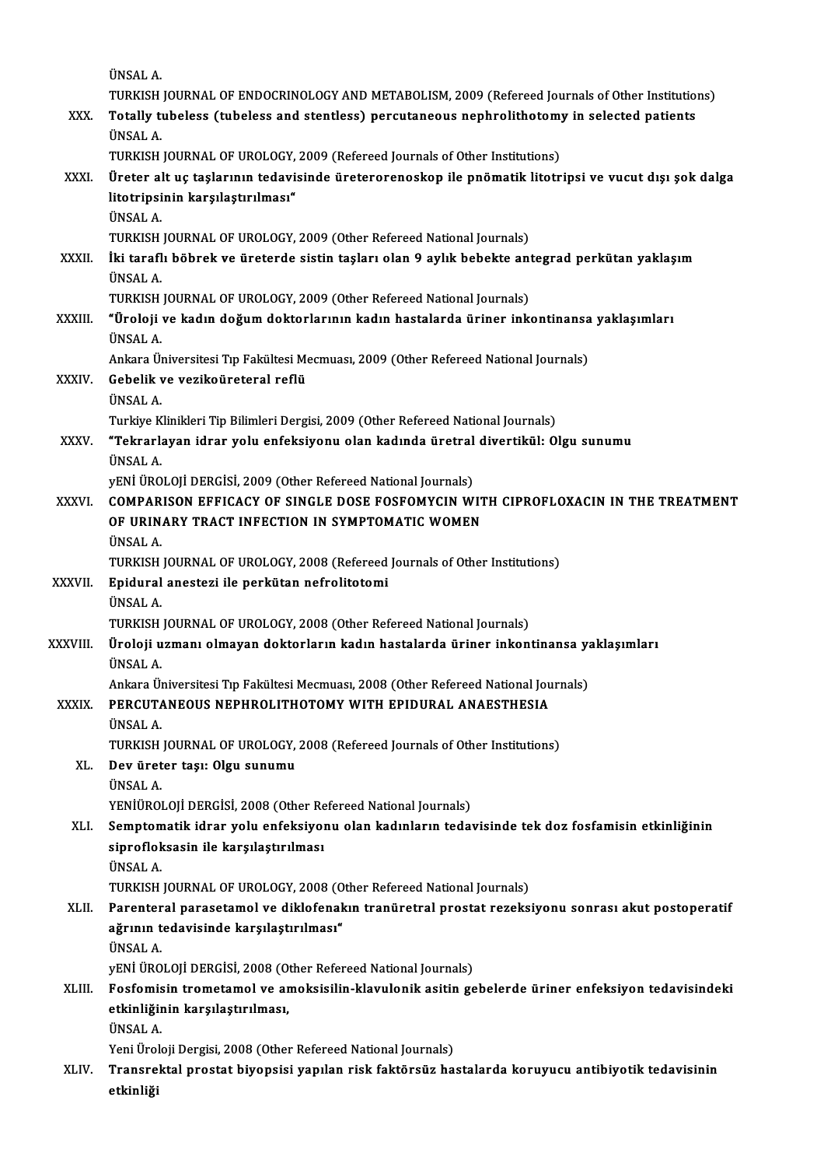|               | ÜNSAL A.<br>TURKISH JOURNAL OF ENDOCRINOLOGY AND METABOLISM, 2009 (Refereed Journals of Other Institutions)                                   |
|---------------|-----------------------------------------------------------------------------------------------------------------------------------------------|
| XXX.          | Totally tubeless (tubeless and stentless) percutaneous nephrolithotomy in selected patients                                                   |
|               | ÜNSAL A.                                                                                                                                      |
|               | TURKISH JOURNAL OF UROLOGY, 2009 (Refereed Journals of Other Institutions)                                                                    |
| XXXI.         | Üreter alt uç taşlarının tedavisinde üreterorenoskop ile pnömatik litotripsi ve vucut dışı şok dalga                                          |
|               | litotripsinin karşılaştırılması"                                                                                                              |
|               | ÜNSAL A.                                                                                                                                      |
|               | TURKISH JOURNAL OF UROLOGY, 2009 (Other Refereed National Journals)                                                                           |
| XXXII.        | İki taraflı böbrek ve üreterde sistin taşları olan 9 aylık bebekte antegrad perkütan yaklaşım                                                 |
|               | ÜNSAL A                                                                                                                                       |
|               | TURKISH JOURNAL OF UROLOGY, 2009 (Other Refereed National Journals)                                                                           |
| XXXIII.       | "Üroloji ve kadın doğum doktorlarının kadın hastalarda üriner inkontinansa yaklaşımları                                                       |
|               | <b>ÜNSAL A.</b>                                                                                                                               |
|               | Ankara Üniversitesi Tıp Fakültesi Mecmuası, 2009 (Other Refereed National Journals)                                                           |
| <b>XXXIV</b>  | Gebelik ve vezikoüreteral reflü<br>ÜNSAL A                                                                                                    |
|               | Turkiye Klinikleri Tip Bilimleri Dergisi, 2009 (Other Refereed National Journals)                                                             |
| XXXV.         | "Tekrarlayan idrar yolu enfeksiyonu olan kadında üretral divertikül: Olgu sunumu                                                              |
|               | ÜNSAL A.                                                                                                                                      |
|               | yENİ ÜROLOJİ DERGİSİ, 2009 (Other Refereed National Journals)                                                                                 |
| XXXVI.        | COMPARISON EFFICACY OF SINGLE DOSE FOSFOMYCIN WITH CIPROFLOXACIN IN THE TREATMENT                                                             |
|               | OF URINARY TRACT INFECTION IN SYMPTOMATIC WOMEN                                                                                               |
|               | <b>ÜNSAL A</b>                                                                                                                                |
|               | TURKISH JOURNAL OF UROLOGY, 2008 (Refereed Journals of Other Institutions)                                                                    |
| <b>XXXVII</b> | Epidural anestezi ile perkütan nefrolitotomi                                                                                                  |
|               | <b>ÜNSAL A</b>                                                                                                                                |
|               | TURKISH JOURNAL OF UROLOGY, 2008 (Other Refereed National Journals)                                                                           |
| XXXVIII.      | Üroloji uzmanı olmayan doktorların kadın hastalarda üriner inkontinansa yaklaşımları                                                          |
|               | UNSAL A                                                                                                                                       |
| <b>XXXIX</b>  | Ankara Üniversitesi Tıp Fakültesi Mecmuası, 2008 (Other Refereed National Journals)<br>PERCUTANEOUS NEPHROLITHOTOMY WITH EPIDURAL ANAESTHESIA |
|               | ÜNSAL A.                                                                                                                                      |
|               | TURKISH JOURNAL OF UROLOGY, 2008 (Refereed Journals of Other Institutions)                                                                    |
| XL.           | Dev üreter taşı: Olgu sunumu                                                                                                                  |
|               | ÜNSAL A.                                                                                                                                      |
|               | YENİÜROLOJİ DERGİSİ, 2008 (Other Refereed National Journals)                                                                                  |
| XLI.          | Semptomatik idrar yolu enfeksiyonu olan kadınların tedavisinde tek doz fosfamisin etkinliğinin                                                |
|               | siprofloksasin ile karşılaştırılması                                                                                                          |
|               | ÜNSAL A.                                                                                                                                      |
|               | TURKISH JOURNAL OF UROLOGY, 2008 (Other Refereed National Journals)                                                                           |
| XLII.         | Parenteral parasetamol ve diklofenakın tranüretral prostat rezeksiyonu sonrası akut postoperatif                                              |
|               | ağrının tedavisinde karşılaştırılması"                                                                                                        |
|               | ÜNSAL A.                                                                                                                                      |
|               | yENİ ÜROLOJİ DERGİSİ, 2008 (Other Refereed National Journals)                                                                                 |
| XLIII.        | Fosfomisin trometamol ve amoksisilin-klavulonik asitin gebelerde üriner enfeksiyon tedavisindeki                                              |
|               | etkinliğinin karşılaştırılması,<br>ÜNSAL A.                                                                                                   |
|               | Yeni Üroloji Dergisi, 2008 (Other Refereed National Journals)                                                                                 |
| XLIV.         | Transrektal prostat biyopsisi yapılan risk faktörsüz hastalarda koruyucu antibiyotik tedavisinin                                              |
|               | etkinliği                                                                                                                                     |
|               |                                                                                                                                               |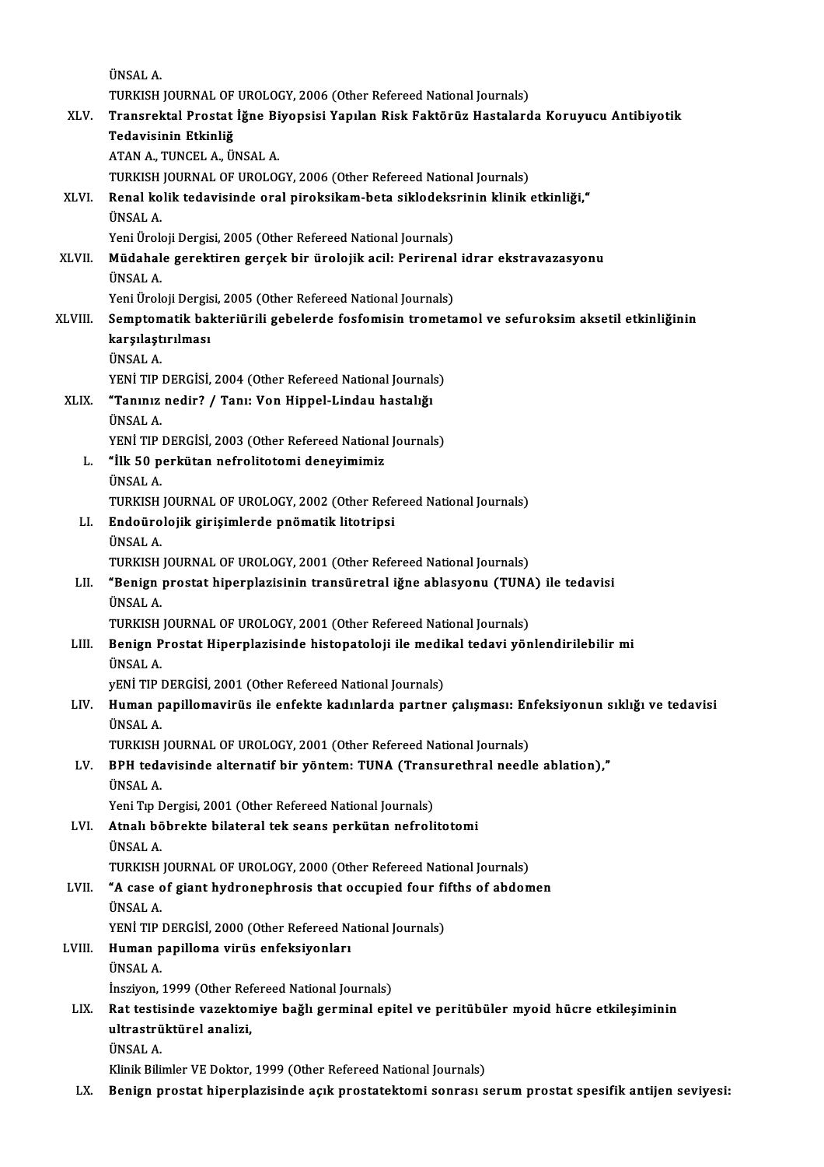|         | <b>ÜNSAL A</b>                                                                                                                                                           |
|---------|--------------------------------------------------------------------------------------------------------------------------------------------------------------------------|
|         | TURKISH JOURNAL OF UROLOGY, 2006 (Other Refereed National Journals)                                                                                                      |
| XLV.    | Transrektal Prostat İğne Biyopsisi Yapılan Risk Faktörüz Hastalarda Koruyucu Antibiyotik                                                                                 |
|         | Tedavisinin Etkinliğ                                                                                                                                                     |
|         | ATAN A., TUNCEL A., ÜNSAL A.                                                                                                                                             |
|         | TURKISH JOURNAL OF UROLOGY, 2006 (Other Refereed National Journals)                                                                                                      |
| XLVI.   | Renal kolik tedavisinde oral piroksikam-beta siklodeksrinin klinik etkinliği,"                                                                                           |
|         | <b>ÜNSAL A</b>                                                                                                                                                           |
|         | Yeni Üroloji Dergisi, 2005 (Other Refereed National Journals)                                                                                                            |
| XLVII.  | Müdahale gerektiren gerçek bir ürolojik acil: Perirenal idrar ekstravazasyonu                                                                                            |
|         | <b>ÜNSAL A.</b>                                                                                                                                                          |
|         | Yeni Üroloji Dergisi, 2005 (Other Refereed National Journals)                                                                                                            |
| XLVIII. | Semptomatik bakteriürili gebelerde fosfomisin trometamol ve sefuroksim aksetil etkinliğinin                                                                              |
|         | karşılaştırılması                                                                                                                                                        |
|         | <b>ÜNSAL A</b>                                                                                                                                                           |
|         | YENİ TIP DERGİSİ, 2004 (Other Refereed National Journals)                                                                                                                |
| XLIX.   | "Tanınız nedir? / Tanı: Von Hippel-Lindau hastalığı                                                                                                                      |
|         | ÜNSAL A                                                                                                                                                                  |
|         | YENİ TIP DERGİSİ, 2003 (Other Refereed National Journals)                                                                                                                |
| L.      | "İlk 50 perkütan nefrolitotomi deneyimimiz                                                                                                                               |
|         | <b>ÜNSAL A</b>                                                                                                                                                           |
|         | TURKISH JOURNAL OF UROLOGY, 2002 (Other Refereed National Journals)                                                                                                      |
| LI.     | Endoürolojik girişimlerde pnömatik litotripsi                                                                                                                            |
|         | ÜNSAL A.                                                                                                                                                                 |
|         | TURKISH JOURNAL OF UROLOGY, 2001 (Other Refereed National Journals)                                                                                                      |
| LII.    | "Benign prostat hiperplazisinin transüretral iğne ablasyonu (TUNA) ile tedavisi                                                                                          |
|         | <b>ÜNSAL A</b>                                                                                                                                                           |
|         | TURKISH JOURNAL OF UROLOGY, 2001 (Other Refereed National Journals)                                                                                                      |
| LIII.   | Benign Prostat Hiperplazisinde histopatoloji ile medikal tedavi yönlendirilebilir mi                                                                                     |
|         | ÜNSAL A                                                                                                                                                                  |
|         | yENİ TIP DERGİSİ, 2001 (Other Refereed National Journals)                                                                                                                |
| LIV.    | Human papillomavirüs ile enfekte kadınlarda partner çalışması: Enfeksiyonun sıklığı ve tedavisi                                                                          |
|         | ÜNSAL A                                                                                                                                                                  |
|         | TURKISH JOURNAL OF UROLOGY, 2001 (Other Refereed National Journals)                                                                                                      |
| LV.     | BPH tedavisinde alternatif bir yöntem: TUNA (Transurethral needle ablation),"                                                                                            |
|         | ÜNSAL A                                                                                                                                                                  |
|         | Yeni Tıp Dergisi, 2001 (Other Refereed National Journals)                                                                                                                |
| LVI.    | Atnalı böbrekte bilateral tek seans perkütan nefrolitotomi                                                                                                               |
|         | <b>ÜNSAL A.</b>                                                                                                                                                          |
|         | TURKISH JOURNAL OF UROLOGY, 2000 (Other Refereed National Journals)                                                                                                      |
| LVII.   | "A case of giant hydronephrosis that occupied four fifths of abdomen                                                                                                     |
|         | ÜNSAL A.                                                                                                                                                                 |
|         | YENİ TIP DERGİSİ, 2000 (Other Refereed National Journals)                                                                                                                |
| LVIII.  | Human papilloma virüs enfeksiyonları                                                                                                                                     |
|         | ÜNSAL A                                                                                                                                                                  |
|         | Insziyon, 1999 (Other Refereed National Journals)                                                                                                                        |
| LIX.    | Rat testisinde vazektomiye bağlı germinal epitel ve peritübüler myoid hücre etkileşiminin                                                                                |
|         | ultrastrüktürel analizi,                                                                                                                                                 |
|         | ÜNSAL A.                                                                                                                                                                 |
| LX.     | Klinik Bilimler VE Doktor, 1999 (Other Refereed National Journals)<br>Benign prostat hiperplazisinde açık prostatektomi sonrası serum prostat spesifik antijen seviyesi: |
|         |                                                                                                                                                                          |